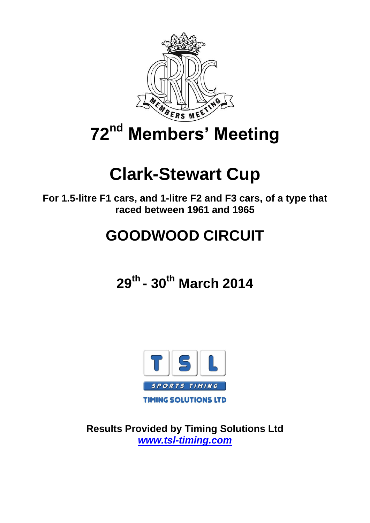

# **72nd Members' Meeting**

# **Clark-Stewart Cup**

**For 1.5-litre F1 cars, and 1-litre F2 and F3 cars, of a type that raced between 1961 and 1965**

# **GOODWOOD CIRCUIT**

**29th - 30th March 2014**



**Results Provided by Timing Solutions Ltd** *[www.tsl-timing.com](http://www.tsl-timing.com/)*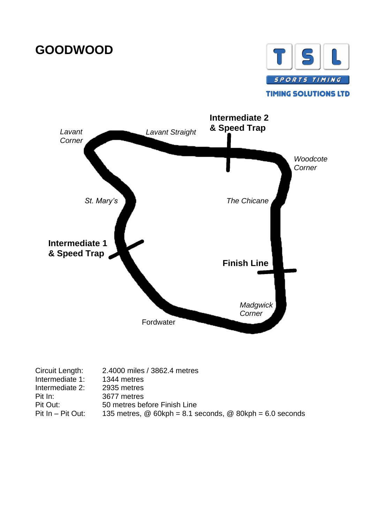# **GOODWOOD**





| Circuit Length:   | 2.4000 miles / 3862.4 metres                               |
|-------------------|------------------------------------------------------------|
| Intermediate 1:   | 1344 metres                                                |
| Intermediate 2:   | 2935 metres                                                |
| Pit In:           | 3677 metres                                                |
| Pit Out:          | 50 metres before Finish Line                               |
| Pit In - Pit Out: | 135 metres, $@60kph = 8.1$ seconds, $@80kph = 6.0$ seconds |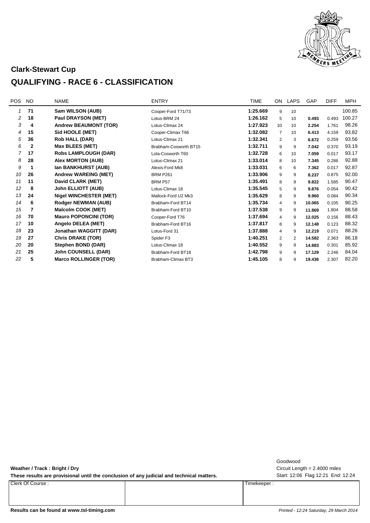

#### **Clark-Stewart Cup**

#### **QUALIFYING - RACE 6 - CLASSIFICATION**

| <b>POS</b> | <b>NO</b> | <b>NAME</b>                   | <b>ENTRY</b>          | <b>TIME</b> | ON             | <b>LAPS</b> | GAP    | <b>DIFF</b> | <b>MPH</b> |
|------------|-----------|-------------------------------|-----------------------|-------------|----------------|-------------|--------|-------------|------------|
| 1          | 71        | Sam WILSON (AUB)              | Cooper-Ford T71/73    | 1:25.669    | 9              | 10          |        |             | 100.85     |
| 2          | 18        | Paul DRAYSON (MET)            | Lotus-BRM 24          | 1:26.162    | 5              | 10          | 0.493  | 0.493       | 100.27     |
| 3          | 4         | <b>Andrew BEAUMONT (TOR)</b>  | Lotus-Climax 24       | 1:27.923    | 10             | 10          | 2.254  | 1.761       | 98.26      |
| 4          | 15        | Sid HOOLE (MET)               | Cooper-Climax T66     | 1:32.082    | $\overline{7}$ | 10          | 6.413  | 4.159       | 93.82      |
| 5          | 36        | <b>Rob HALL (DAR)</b>         | Lotus-Climax 21       | 1:32.341    | 2              | 3           | 6.672  | 0.259       | 93.56      |
| 6          | 2         | <b>Max BLEES (MET)</b>        | Brabham-Cosworth BT15 | 1:32.711    | 9              | 9           | 7.042  | 0.370       | 93.19      |
| 7          | 17        | <b>Robs LAMPLOUGH (DAR)</b>   | Lola-Cosworth T60     | 1:32.728    | 6              | 10          | 7.059  | 0.017       | 93.17      |
| 8          | 28        | <b>Alex MORTON (AUB)</b>      | Lotus-Climax 21       | 1:33.014    | 8              | 10          | 7.345  | 0.286       | 92.88      |
| 9          | 1         | Ian BANKHURST (AUB)           | Alexis-Ford Mk8       | 1:33.031    | 6              | 6           | 7.362  | 0.017       | 92.87      |
| 10         | 26        | <b>Andrew WAREING (MET)</b>   | <b>BRM P261</b>       | 1:33.906    | 9              | 9           | 8.237  | 0.875       | 92.00      |
| 11         | 11        | David CLARK (MET)             | BRM P57               | 1:35.491    | 8              | 9           | 9.822  | 1.585       | 90.47      |
| 12         | 8         | <b>John ELLIOTT (AUB)</b>     | Lotus-Climax 18       | 1:35.545    | 5              | 9           | 9.876  | 0.054       | 90.42      |
| 13         | 24        | <b>Nigel WINCHESTER (MET)</b> | Mallock-Ford U2 Mk3   | 1:35.629    | 8              | 9           | 9.960  | 0.084       | 90.34      |
| 14         | 6         | <b>Rodger NEWMAN (AUB)</b>    | Brabham-Ford BT14     | 1:35.734    | $\overline{4}$ | 9           | 10.065 | 0.105       | 90.25      |
| 15         | 7         | <b>Malcolm COOK (MET)</b>     | Brabham-Ford BT10     | 1:37.538    | 9              | 9           | 11.869 | 1.804       | 88.58      |
| 16         | 70        | <b>Mauro POPONCINI (TOR)</b>  | Cooper-Ford T76       | 1:37.694    | 4              | 9           | 12.025 | 0.156       | 88.43      |
| 17         | 10        | Angelo DELEA (MET)            | Brabham-Ford BT16     | 1:37.817    | 8              | 9           | 12.148 | 0.123       | 88.32      |
| 18         | 23        | Jonathan WAGGITT (DAR)        | Lotus-Ford 31         | 1:37.888    | 4              | 9           | 12.219 | 0.071       | 88.26      |
| 19         | 27        | <b>Chris DRAKE (TOR)</b>      | Spider F3             | 1:40.251    | 2              | 2           | 14.582 | 2.363       | 86.18      |
| 20         | 20        | Stephen BOND (DAR)            | Lotus-Climax 18       | 1:40.552    | 9              | 9           | 14.883 | 0.301       | 85.92      |
| 21         | 25        | <b>John COUNSELL (DAR)</b>    | Brabham-Ford BT18     | 1:42.798    | 9              | 9           | 17.129 | 2.246       | 84.04      |
| 22         | 5         | <b>Marco ROLLINGER (TOR)</b>  | Brabham-Climax BT3    | 1:45.105    | 8              | 9           | 19.436 | 2.307       | 82.20      |
|            |           |                               |                       |             |                |             |        |             |            |

**Weather / Track : Bright / Dry**

These results are provisional until the conclusion of any judicial and technical matters. Start: 12:06 Flag 12:21 End: 12:24

Clerk Of Course : Timekeeper :

Circuit Length = 2.4000 miles Goodwood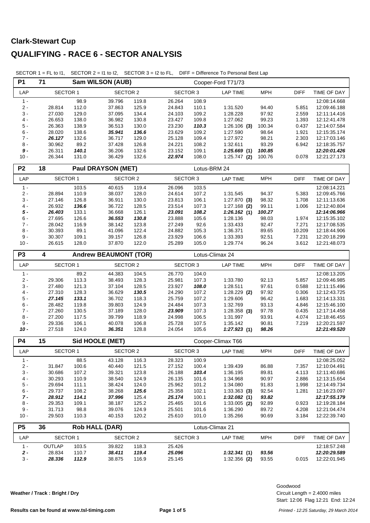| <b>P1</b>      | Sam WILSON (AUB)<br>71 |                    |                              |                |                  |                | Cooper-Ford T71/73   |                |                |                              |
|----------------|------------------------|--------------------|------------------------------|----------------|------------------|----------------|----------------------|----------------|----------------|------------------------------|
| LAP            | <b>SECTOR 1</b>        |                    | <b>SECTOR 2</b>              |                | <b>SECTOR 3</b>  |                | <b>LAP TIME</b>      | <b>MPH</b>     | <b>DIFF</b>    | TIME OF DAY                  |
| $1 -$          |                        | 98.9               | 39.796                       | 119.8          | 26.264           | 108.9          |                      |                |                | 12:08:14.668                 |
| $2 -$          | 28.814                 | 112.0              | 37.863                       | 125.9          | 24.843           | 110.1          | 1:31.520             | 94.40          | 5.851          | 12:09:46.188                 |
| $3 -$          | 27.030                 | 129.0              | 37.095                       | 134.4          | 24.103           | 109.2          | 1:28.228             | 97.92          | 2.559          | 12:11:14.416                 |
| $4 -$          | 26.653                 | 138.0              | 36.982                       | 130.8          | 23.427           | 109.8          | 1:27.062             | 99.23          | 1.393          | 12:12:41.478                 |
| $5-$           | 26.363                 | 138.9              | 36.513                       | 130.0          | 23.230           | 110.3          | $1:26.106$ (3)       | 100.34         | 0.437          | 12:14:07.584                 |
| $6 -$          | 28.020                 | 138.6              | 35.941                       | 136.6          | 23.629           | 109.2          | 1:27.590             | 98.64          | 1.921          | 12:15:35.174                 |
| $7 -$          | 26.127                 | 132.6              | 36.717                       | 129.0          | 25.128           | 109.4          | 1:27.972             | 98.21          | 2.303          | 12:17:03.146                 |
| $8 -$          | 30.962                 | 89.2               | 37.428                       | 126.8          | 24.221           | 108.2          | 1:32.611             | 93.29          | 6.942          | 12:18:35.757                 |
| $9 -$          | 26.311                 | 140.1              | 36.206                       | 132.6          | 23.152           | 109.1          | 1:25.669(1)          | 100.85         |                | 12:20:01.426                 |
| $10 -$         | 26.344                 | 131.0              | 36.429                       | 132.6          | 22.974           | 108.0          | $1:25.747$ (2)       | 100.76         | 0.078          | 12:21:27.173                 |
| P <sub>2</sub> | 18                     | Paul DRAYSON (MET) |                              | Lotus-BRM 24   |                  |                |                      |                |                |                              |
| LAP            | <b>SECTOR 1</b>        |                    | <b>SECTOR 2</b>              |                | <b>SECTOR 3</b>  |                | <b>LAP TIME</b>      | <b>MPH</b>     | <b>DIFF</b>    | TIME OF DAY                  |
| $1 -$          |                        | 103.5              | 40.615                       | 119.4          | 26.096           | 103.5          |                      |                |                | 12:08:14.221                 |
| $2 -$          | 28.894                 | 110.9              | 38.037                       | 128.0          | 24.614           | 107.2          | 1:31.545             | 94.37          | 5.383          | 12:09:45.766                 |
| $3 -$          | 27.146                 | 126.8              | 36.911                       | 130.0          | 23.813           | 106.1          | $1:27.870$ (3)       | 98.32          | 1.708          | 12:11:13.636                 |
| $4 -$          | 26.932                 | 136.6              | 36.722                       | 128.5          | 23.514           | 107.3          | $1:27.168$ (2)       | 99.11          | 1.006          | 12:12:40.804                 |
| $5 -$          | 26.403                 | 133.1              | 36.668                       | 126.1          | 23.091           | 108.2          | 1:26.162(1)          | 100.27         |                | 12:14:06.966                 |
| $6 -$          | 27.695                 | 126.6              | 36.553                       | 130.8          | 23.888           | 105.6          | 1:28.136             | 98.03          | 1.974          | 12:15:35.102                 |
| $7 -$          | 28.042                 | 116.9              | 38.142                       | 123.8          | 27.249           | 92.6           | 1:33.433             | 92.47          | 7.271          | 12:17:08.535                 |
| $8 -$          | 30.393                 | 89.1               | 41.096                       | 122.4          | 24.882           | 105.3          | 1:36.371             | 89.65          | 10.209         | 12:18:44.906                 |
| $9 -$          | 30.307                 | 109.1              | 39.157                       | 126.8          | 23.929           | 106.6          | 1:33.393             | 92.51          | 7.231          | 12:20:18.299                 |
| $10 -$         | 26.615                 | 128.0              | 37.870                       | 122.0          | 25.289           | 105.0          | 1:29.774             | 96.24          | 3.612          | 12:21:48.073                 |
| P <sub>3</sub> | 4                      |                    | <b>Andrew BEAUMONT (TOR)</b> |                |                  |                | Lotus-Climax 24      |                |                |                              |
| LAP            | <b>SECTOR 1</b>        |                    | SECTOR 2                     |                | SECTOR 3         |                | <b>LAP TIME</b>      | <b>MPH</b>     | <b>DIFF</b>    | TIME OF DAY                  |
| $1 -$          |                        | 89.2               | 44.383                       | 104.5          | 26.770           | 104.0          |                      |                |                | 12:08:13.205                 |
| $2 -$          | 29.306                 | 113.3              | 38.493                       | 128.3          | 25.981           | 107.3          | 1:33.780             | 92.13          | 5.857          | 12:09:46.985                 |
| $3 -$          | 27.480                 | 121.3              | 37.104                       | 128.5          | 23.927           | 108.0          | 1:28.511             | 97.61          | 0.588          | 12:11:15.496                 |
| $4 -$          | 27.310                 | 128.3              | 36.629                       | 130.5          | 24.290           | 107.2          | $1:28.229$ (2)       | 97.92          | 0.306          | 12:12:43.725                 |
| $5 -$          | 27.145                 | 133.1              | 36.702                       | 118.3          | 25.759           | 107.2          | 1:29.606             | 96.42          | 1.683          | 12:14:13.331                 |
| $6 -$          | 28.482                 | 119.8              | 39.803                       | 124.9          | 24.484           | 107.3          | 1:32.769             | 93.13          | 4.846          | 12:15:46.100                 |
| $7 -$          | 27.260                 | 130.5              | 37.189                       | 128.0          | 23.909           | 107.3          | $1:28.358$ (3)       | 97.78          | 0.435          | 12:17:14.458                 |
| $8 -$          | 27.200                 | 117.5              | 39.799                       | 118.9          | 24.998           | 106.5          | 1:31.997             | 93.91          | 4.074          | 12:18:46.455                 |
| $9 -$          | 29.336                 | 106.1              | 40.078                       | 106.8          | 25.728           | 107.5          | 1:35.142             | 90.81          | 7.219          | 12:20:21.597                 |
| $10 -$         | 27.518                 | 124.0              | 36.351                       | 128.8          | 24.054           | 105.6          | 1:27.923(1)          | 98.26          |                | 12:21:49.520                 |
| P4             | 15                     |                    | Sid HOOLE (MET)              |                |                  |                | Cooper-Climax T66    |                |                |                              |
| LAP            | <b>SECTOR 1</b>        |                    | <b>SECTOR 2</b>              |                | <b>SECTOR 3</b>  |                | <b>LAP TIME</b>      | <b>MPH</b>     | <b>DIFF</b>    | TIME OF DAY                  |
| $1 -$          |                        | 88.5               | 43.128                       | 116.3          | 28.323           | 100.9          |                      |                |                | 12:08:25.052                 |
| $2 -$          | 31.847                 | 100.6              | 40.440                       | 121.5          | 27.152           | 100.4          | 1:39.439             | 86.88          | 7.357          | 12:10:04.491                 |
| $3 -$          | 30.686                 | 107.2              | 39.321                       | 123.8          | 26.188           | 103.4          | 1:36.195             | 89.81          | 4.113          | 12:11:40.686                 |
| $4 -$          | 30.293                 | 110.9              | 38.540                       | 124.9          | 26.135           | 101.6          | 1:34.968             | 90.97          | 2.886          | 12:13:15.654                 |
| 5 -            | 29.694                 | 111.1              | 38.424                       | 124.0          | 25.962           | 101.2          | 1:34.080             | 91.83          | 1.998          | 12:14:49.734                 |
| $6 -$          | 29.737                 | 108.2              | 38.268                       | 125.6          | 25.358           | 102.1          | $1:33.363$ (3)       | 92.54          | 1.281          | 12:16:23.097                 |
| $7 -$          | 28.912                 | 114.1              | 37.996                       | 125.4          | 25.174           | 100.1          | 1:32.082(1)          | 93.82          |                | 12:17:55.179                 |
| 8 -<br>$9 -$   | 29.353                 | 109.1              | 38.187                       | 125.2          | 25.465           | 101.6          | $1:33.005$ (2)       | 92.89          | 0.923          | 12:19:28.184                 |
| $10 -$         | 31.713<br>29.503       | 98.8<br>110.3      | 39.076<br>40.153             | 124.9<br>120.2 | 25.501<br>25.610 | 101.6<br>101.0 | 1:36.290<br>1:35.266 | 89.72<br>90.69 | 4.208<br>3.184 | 12:21:04.474<br>12:22:39.740 |
| P <sub>5</sub> |                        |                    | <b>Rob HALL (DAR)</b>        |                |                  |                |                      |                |                |                              |
|                | 36                     |                    |                              |                |                  |                | Lotus-Climax 21      |                |                |                              |
| LAP            | <b>SECTOR 1</b>        |                    | <b>SECTOR 2</b>              |                | <b>SECTOR 3</b>  |                | <b>LAP TIME</b>      | <b>MPH</b>     | DIFF           | TIME OF DAY                  |
| $1 -$          | OUTLAP                 | 103.5              | 39.822                       | 118.3          | 25.426           |                |                      |                |                | 12:18:57.248                 |
| $2 -$          | 28.834                 | 110.7              | 38.411                       | 119.4          | 25.096           |                | 1:32.341(1)          | 93.56          |                | 12:20:29.589                 |
| $3 -$          | 28.336                 | 112.9              | 38.875                       | 116.9          | 25.145           |                | $1:32.356$ (2)       | 93.55          | 0.015          | 12:22:01.945                 |

SECTOR 1 = FL to I1, SECTOR 2 = I1 to I2, SECTOR 3 = I2 to FL, DIFF = Difference To Personal Best Lap

**Weather / Track : Bright / Dry**

Start: 12:06 Flag 12:21 End: 12:24 Circuit Length = 2.4000 miles Goodwood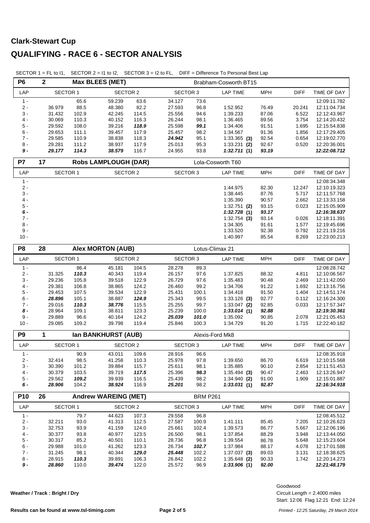| P <sub>6</sub>  | $\overline{\mathbf{2}}$<br><b>Max BLEES (MET)</b> |                                    |                             |                 | Brabham-Cosworth BT15 |                 |                               |                |                |                              |  |  |
|-----------------|---------------------------------------------------|------------------------------------|-----------------------------|-----------------|-----------------------|-----------------|-------------------------------|----------------|----------------|------------------------------|--|--|
| LAP             |                                                   | <b>SECTOR 2</b><br><b>SECTOR 1</b> |                             | <b>SECTOR 3</b> |                       | <b>LAP TIME</b> | <b>MPH</b>                    | <b>DIFF</b>    | TIME OF DAY    |                              |  |  |
| $1 -$           |                                                   | 65.6                               | 59.239                      | 63.6            | 34.127                | 73.6            |                               |                |                | 12:09:11.782                 |  |  |
| $2 -$           | 36.979                                            | 88.5                               | 48.380                      | 82.2            | 27.593                | 96.8            | 1:52.952                      | 76.49          | 20.241         | 12:11:04.734                 |  |  |
| $3 -$           | 31.432                                            | 102.9                              | 42.245                      | 114.5           | 25.556                | 94.6            | 1:39.233                      | 87.06          | 6.522          | 12:12:43.967                 |  |  |
| $4 -$           | 30.069                                            | 110.3                              | 40.152                      | 116.3           | 26.244                | 98.1            | 1:36.465                      | 89.56          | 3.754          | 12:14:20.432                 |  |  |
| $5 -$           | 29.592                                            | 108.0                              | 39.216                      | 118.9           | 25.598                | 99.1            | 1:34.406                      | 91.51          | 1.695          | 12:15:54.838                 |  |  |
| $6 -$           | 29.653                                            | 111.1                              | 39.457                      | 117.9           | 25.457                | 98.2            | 1:34.567                      | 91.36          | 1.856          | 12:17:29.405                 |  |  |
| $7 -$           | 29.585                                            | 110.9                              | 38.838                      | 118.3           | 24.942                | 95.1            | $1:33.365$ (3)                | 92.54          | 0.654          | 12:19:02.770                 |  |  |
| $8 -$           | 29.281                                            | 111.2                              | 38.937                      | 117.9           | 25.013                | 95.3            | $1:33.231$ (2)                | 92.67          | 0.520          | 12:20:36.001                 |  |  |
| $9 -$           | 29.177                                            | 114.3                              | 38.579                      | 116.7           | 24.955                | 93.8            | 1:32.711(1)                   | 93.19          |                | 12:22:08.712                 |  |  |
| P7              | 17                                                |                                    | <b>Robs LAMPLOUGH (DAR)</b> |                 |                       |                 | Lola-Cosworth T60             |                |                |                              |  |  |
| LAP             | SECTOR 1                                          |                                    | <b>SECTOR 2</b>             |                 | <b>SECTOR 3</b>       |                 | <b>LAP TIME</b>               | <b>MPH</b>     | <b>DIFF</b>    | TIME OF DAY                  |  |  |
| $1 -$           |                                                   |                                    |                             |                 |                       |                 |                               |                |                | 12:08:34.348                 |  |  |
| $2 -$           |                                                   |                                    |                             |                 |                       |                 | 1:44.975                      | 82.30          | 12.247         | 12:10:19.323                 |  |  |
| $3 -$           |                                                   |                                    |                             |                 |                       |                 | 1:38.445                      | 87.76          | 5.717          | 12:11:57.768                 |  |  |
| $4 -$           |                                                   |                                    |                             |                 |                       |                 | 1:35.390                      | 90.57          | 2.662          | 12:13:33.158                 |  |  |
| 5 -             |                                                   |                                    |                             |                 |                       |                 | $1:32.751$ (2)                | 93.15          | 0.023          | 12:15:05.909                 |  |  |
| $6 -$           |                                                   |                                    |                             |                 |                       |                 | 1:32.728(1)                   | 93.17          |                | 12:16:38.637                 |  |  |
| 7 -             |                                                   |                                    |                             |                 |                       |                 | $1:32.754$ (3)                | 93.14          | 0.026          | 12:18:11.391                 |  |  |
| 8 -             |                                                   |                                    |                             |                 |                       |                 | 1:34.305                      | 91.61          | 1.577          | 12:19:45.696                 |  |  |
| $9 -$<br>$10 -$ |                                                   |                                    |                             |                 |                       |                 | 1:33.520<br>1:40.997          | 92.38<br>85.54 | 0.792<br>8.269 | 12:21:19.216<br>12:23:00.213 |  |  |
|                 |                                                   |                                    |                             |                 |                       |                 |                               |                |                |                              |  |  |
| P <sub>8</sub>  | 28                                                |                                    | <b>Alex MORTON (AUB)</b>    |                 |                       |                 | Lotus-Climax 21               |                |                |                              |  |  |
| LAP             | <b>SECTOR 1</b>                                   |                                    | <b>SECTOR 2</b>             |                 | <b>SECTOR 3</b>       |                 | <b>LAP TIME</b>               | <b>MPH</b>     | <b>DIFF</b>    | TIME OF DAY                  |  |  |
| $1 -$           |                                                   | 86.4                               | 45.181                      | 104.5           | 28.278                | 89.3            |                               |                |                | 12:08:28.742                 |  |  |
| $2 -$           | 31.325                                            | 110.3                              | 40.343                      | 119.4           | 26.157                | 97.6            | 1:37.825                      | 88.32          | 4.811          | 12:10:06.567                 |  |  |
| $3 -$           | 29.236                                            | 105.8                              | 39.518                      | 122.9           | 26.729                | 97.6            | 1:35.483                      | 90.48          | 2.469          | 12:11:42.050                 |  |  |
| $4 -$           | 29.381                                            | 106.8                              | 38.865                      | 124.2           | 26.460                | 99.2            | 1:34.706                      | 91.22          | 1.692          | 12:13:16.756                 |  |  |
| 5 -             | 29.453                                            | 107.5                              | 39.534                      | 122.9           | 25.431                | 100.1           | 1:34.418                      | 91.50          | 1.404          | 12:14:51.174                 |  |  |
| $6 -$           | 28.896                                            | 105.1                              | 38.887                      | 124.9           | 25.343                | 99.5            | $1:33.126$ (3)                | 92.77          | 0.112          | 12:16:24.300                 |  |  |
| $7 -$           | 29.016                                            | 110.3                              | 38.776                      | 115.5           | 25.255                | 99.7            | $1:33.047$ (2)                | 92.85          | 0.033          | 12:17:57.347                 |  |  |
| 8 -<br>$9 -$    | 28.964                                            | 109.1                              | 38.811                      | 123.3           | 25.239                | 100.0           | 1:33.014(1)                   | 92.88          |                | 12:19:30.361                 |  |  |
|                 | 29.889                                            | 96.6                               | 40.164                      | 124.2           | 25.039                | 101.0           | 1:35.092                      | 90.85          | 2.078          | 12:21:05.453                 |  |  |
| $10 -$          | 29.085                                            | 109.2                              | 39.798                      | 119.4           | 25.846                | 100.3           | 1:34.729                      | 91.20          | 1.715          | 12:22:40.182                 |  |  |
| P <sub>9</sub>  | 1                                                 |                                    | Ian BANKHURST (AUB)         |                 |                       |                 | Alexis-Ford Mk8               |                |                |                              |  |  |
| LAP             | <b>SECTOR 1</b>                                   |                                    | <b>SECTOR 2</b>             |                 | <b>SECTOR 3</b>       |                 | <b>LAP TIME</b>               | <b>MPH</b>     | <b>DIFF</b>    | TIME OF DAY                  |  |  |
| $1 -$           |                                                   | 90.9                               | 43.011                      | 109.6           | 28.916                | 96.6            |                               |                |                | 12:08:35.918                 |  |  |
| $2 -$           | 32.414                                            | 98.5                               | 41.258                      | 110.3           | 25.978                | 97.8            | 1:39.650                      | 86.70          | 6.619          | 12:10:15.568                 |  |  |
| $3 -$<br>$4 -$  | 30.390                                            | 101.2                              | 39.884                      | 115.7           | 25.611                | 98.1            | 1:35.885                      | 90.10          | 2.854          | 12:11:51.453                 |  |  |
| 5 -             | 30.379<br>29.562                                  | 103.5<br>109.2                     | 39.719<br>39.939            | 117.5<br>116.5  | 25.396<br>25.439      | 98.3<br>98.2    | $1:35.494$ (3)                | 90.47          | 2.463          | 12:13:26.947                 |  |  |
| 6 -             | 28.906                                            | 104.2                              | 38.924                      | 116.9           | 25.201                | 98.2            | $1:34.940$ (2)<br>1:33.031(1) | 91.00<br>92.87 | 1.909          | 12:15:01.887<br>12:16:34.918 |  |  |
| <b>P10</b>      | 26                                                |                                    | <b>Andrew WAREING (MET)</b> |                 |                       | <b>BRM P261</b> |                               |                |                |                              |  |  |
| LAP             | <b>SECTOR 1</b>                                   |                                    | <b>SECTOR 2</b>             |                 | <b>SECTOR 3</b>       |                 | <b>LAP TIME</b>               | <b>MPH</b>     | <b>DIFF</b>    | TIME OF DAY                  |  |  |
|                 |                                                   |                                    |                             |                 |                       |                 |                               |                |                |                              |  |  |
| $1 -$<br>$2 -$  | 32.211                                            | 79.7<br>93.0                       | 44.623<br>41.313            | 107.3<br>112.5  | 29.558<br>27.587      | 96.8<br>100.9   | 1:41.111                      | 85.45          | 7.205          | 12:08:45.512<br>12:10:26.623 |  |  |
| $3 -$           | 32.753                                            | 93.9                               | 41.159                      | 124.0           | 25.661                | 102.4           | 1:39.573                      | 86.77          | 5.667          | 12:12:06.196                 |  |  |
| $4 -$           | 30.377                                            | 93.8                               | 40.977                      | 123.5           | 26.500                | 98.1            | 1:37.854                      | 88.29          | 3.948          | 12:13:44.050                 |  |  |
| 5 -             | 30.317                                            | 85.2                               | 40.501                      | 110.1           | 28.736                | 96.8            | 1:39.554                      | 86.78          | 5.648          | 12:15:23.604                 |  |  |
| $6 -$           | 29.988                                            | 101.0                              | 41.262                      | 123.3           | 26.734                | 102.7           | 1:37.984                      | 88.17          | 4.078          | 12:17:01.588                 |  |  |
| $7 -$           | 31.245                                            | 98.1                               | 40.344                      | 129.0           | 25.448                | 102.2           | $1:37.037$ (3)                | 89.03          | 3.131          | 12:18:38.625                 |  |  |
| $8 -$           | 28.915                                            | 110.3                              | 39.891                      | 106.3           | 26.842                | 102.2           | $1:35.648$ (2)                | 90.33          | 1.742          | 12:20:14.273                 |  |  |
| 9 -             | 28.860                                            | 110.0                              | 39.474                      | 122.0           | 25.572                | 96.9            | 1:33.906(1)                   | 92.00          |                | 12:21:48.179                 |  |  |
|                 |                                                   |                                    |                             |                 |                       |                 |                               |                |                |                              |  |  |

SECTOR 1 = FL to I1, SECTOR 2 = I1 to I2, SECTOR 3 = I2 to FL, DIFF = Difference To Personal Best Lap

**Weather / Track : Bright / Dry**

Start: 12:06 Flag 12:21 End: 12:24 Circuit Length = 2.4000 miles Goodwood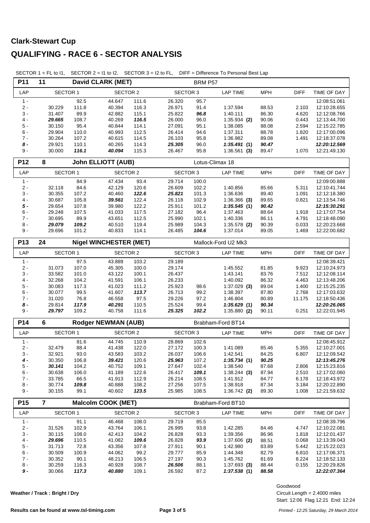| P11             | <b>David CLARK (MET)</b><br>11<br><b>SECTOR 1</b><br><b>SECTOR 2</b> |                |                               |                | BRM P57          |                |                            |                |                |                              |  |
|-----------------|----------------------------------------------------------------------|----------------|-------------------------------|----------------|------------------|----------------|----------------------------|----------------|----------------|------------------------------|--|
| LAP             |                                                                      |                |                               |                | <b>SECTOR 3</b>  |                | <b>LAP TIME</b>            | <b>MPH</b>     | <b>DIFF</b>    | TIME OF DAY                  |  |
| $1 -$           |                                                                      | 92.5           | 44.647                        | 111.6          | 26.320           | 95.7           |                            |                |                | 12:08:51.061                 |  |
| $2 -$           | 30.229                                                               | 111.8          | 40.394                        | 116.3          | 26.971           | 91.4           | 1:37.594                   | 88.53          | 2.103          | 12:10:28.655                 |  |
| $3 -$           | 31.407                                                               | 89.9           | 42.882                        | 115.1          | 25.822           | 96.8           | 1:40.111                   | 86.30          | 4.620          | 12:12:08.766                 |  |
| $4 -$           | 29.665                                                               | 108.7          | 40.269                        | 116.5          | 26.000           | 96.0           | $1:35.934$ (2)             | 90.06          | 0.443          | 12:13:44.700                 |  |
| 5 -             | 30.150                                                               | 95.4           | 40.844                        | 114.1          | 27.091           | 95.1           | 1:38.085                   | 88.08          | 2.594          | 12:15:22.785                 |  |
| $6 -$<br>$7 -$  | 29.904<br>30.264                                                     | 110.0<br>107.2 | 40.993<br>40.615              | 112.5<br>114.5 | 26.414<br>26.103 | 94.6<br>95.8   | 1:37.311<br>1:36.982       | 88.78<br>89.08 | 1.820<br>1.491 | 12:17:00.096<br>12:18:37.078 |  |
| $8 -$           | 29.921                                                               | 110.1          | 40.265                        | 114.3          | 25.305           | 96.0           | 1:35.491(1)                | 90.47          |                | 12:20:12.569                 |  |
| $9 -$           | 30.000                                                               | 116.1          | 40.094                        | 115.3          | 26.467           | 95.8           | $1:36.561$ (3)             | 89.47          | 1.070          | 12:21:49.130                 |  |
| P <sub>12</sub> | 8                                                                    |                | <b>John ELLIOTT (AUB)</b>     |                |                  |                |                            |                |                |                              |  |
|                 |                                                                      |                |                               |                |                  |                | Lotus-Climax 18            |                |                |                              |  |
| LAP             | <b>SECTOR 1</b>                                                      |                | <b>SECTOR 2</b>               |                | <b>SECTOR 3</b>  |                | <b>LAP TIME</b>            | <b>MPH</b>     | <b>DIFF</b>    | TIME OF DAY                  |  |
| $1 -$<br>$2 -$  | 32.118                                                               | 84.9<br>84.6   | 47.434<br>42.129              | 93.4<br>120.6  | 29.714<br>26.609 | 100.0<br>102.2 | 1:40.856                   | 85.66          | 5.311          | 12:09:00.888<br>12:10:41.744 |  |
| $3 -$           | 30.355                                                               | 107.2          | 40.460                        | 122.6          | 25.821           | 101.3          | 1:36.636                   | 89.40          | 1.091          | 12:12:18.380                 |  |
| $4 -$           | 30.687                                                               | 105.8          | 39.561                        | 122.4          | 26.118           | 102.9          | $1:36.366$ (3)             | 89.65          | 0.821          | 12:13:54.746                 |  |
| $5 -$           | 29.654                                                               | 107.8          | 39.980                        | 122.2          | 25.911           | 101.2          | 1:35.545(1)                | 90.42          |                | 12:15:30.291                 |  |
| $6 -$           | 29.248                                                               | 107.5          | 41.033                        | 117.5          | 27.182           | 96.4           | 1:37.463                   | 88.64          | 1.918          | 12:17:07.754                 |  |
| $7 -$           | 30.695                                                               | 89.9           | 43.651                        | 112.5          | 25.990           | 102.1          | 1:40.336                   | 86.11          | 4.791          | 12:18:48.090                 |  |
| $8 -$           | 29.079                                                               | 109.2          | 40.510                        | 119.4          | 25.989           | 104.3          | $1:35.578$ (2)             | 90.39          | 0.033          | 12:20:23.668                 |  |
| $9 -$           | 29.696                                                               | 101.2          | 40.833                        | 114.1          | 26.485           | 104.6          | 1:37.014                   | 89.05          | 1.469          | 12:22:00.682                 |  |
| P13             | 24                                                                   |                | <b>Nigel WINCHESTER (MET)</b> |                |                  |                | Mallock-Ford U2 Mk3        |                |                |                              |  |
| LAP             | <b>SECTOR 1</b>                                                      |                | <b>SECTOR 2</b>               |                | <b>SECTOR 3</b>  |                | <b>LAP TIME</b>            | <b>MPH</b>     | <b>DIFF</b>    | TIME OF DAY                  |  |
| $1 -$           |                                                                      | 97.5           | 43.889                        | 103.2          | 29.189           |                |                            |                |                | 12:08:39.421                 |  |
| $2 -$           | 31.073                                                               | 107.0          | 45.305                        | 100.0          | 29.174           |                | 1:45.552                   | 81.85          | 9.923          | 12:10:24.973                 |  |
| $3 -$           | 33.582                                                               | 101.0          | 43.122                        | 100.1          | 26.437           |                | 1:43.141                   | 83.76          | 7.512          | 12:12:08.114                 |  |
| $4 -$           | 32.268                                                               | 104.2          | 41.591                        | 106.1          | 26.233           |                | 1:40.092                   | 86.32          | 4.463          | 12:13:48.206                 |  |
| 5 -<br>$6 -$    | 30.083<br>30.077                                                     | 117.3<br>99.5  | 41.023<br>41.607              | 111.2<br>113.7 | 25.923<br>26.713 | 98.6<br>99.2   | $1:37.029$ (3)<br>1:38.397 | 89.04<br>87.80 | 1.400<br>2.768 | 12:15:25.235<br>12:17:03.632 |  |
| $7 -$           | 31.020                                                               | 76.8           | 46.558                        | 97.5           | 29.226           | 97.2           | 1:46.804                   | 80.89          | 11.175         | 12:18:50.436                 |  |
| $8 -$           | 29.814                                                               | 117.9          | 40.291                        | 110.5          | 25.524           | 99.4           | 1:35.629(1)                | 90.34          |                | 12:20:26.065                 |  |
| $9 -$           | 29.797                                                               | 109.2          | 40.758                        | 111.6          | 25.325           | 102.2          | $1:35.880$ (2)             | 90.11          | 0.251          | 12:22:01.945                 |  |
| P14             | 6                                                                    |                | <b>Rodger NEWMAN (AUB)</b>    |                |                  |                | Brabham-Ford BT14          |                |                |                              |  |
| LAP             | <b>SECTOR 1</b>                                                      |                | <b>SECTOR 2</b>               |                | <b>SECTOR 3</b>  |                | <b>LAP TIME</b>            | <b>MPH</b>     | <b>DIFF</b>    | TIME OF DAY                  |  |
| $1 -$           |                                                                      | 81.6           | 44.745                        | 110.9          | 28.869           | 102.6          |                            |                |                | 12:08:45.912                 |  |
| $2 -$           | 32.479                                                               | 88.4           | 41.438                        | 122.0          | 27.172           | 100.3          | 1:41.089                   | 85.46          | 5.355          | 12:10:27.001                 |  |
| $3 -$           | 32.921                                                               | 93.0           | 43.583                        | 103.2          | 26.037           | 106.6          | 1:42.541                   | 84.25          | 6.807          | 12:12:09.542                 |  |
| 4 -             | 30.350                                                               | 106.8          | 39.421                        | 120.6          | 25.963           | 107.2          | 1:35.734(1)                | 90.25          |                | 12:13:45.276                 |  |
| $5 -$           | 30.141                                                               | 104.2          | 40.752                        | 109.1          | 27.647           | 102.4          | 1:38.540                   | 87.68          | 2.806          | 12:15:23.816                 |  |
| $6 -$           | 30.638                                                               | 106.0          | 41.189                        | 122.6          | 26.417           | 109.1          | $1:38.244$ (3)             | 87.94          | 2.510          | 12:17:02.060                 |  |
| $7 -$           | 33.785                                                               | 66.5           | 41.913                        | 112.9          | 26.214           | 108.5          | 1:41.912                   | 84.77          | 6.178          | 12:18:43.972                 |  |
| $8 -$           | 30.774                                                               | 109.8          | 40.888                        | 108.2          | 27.256           | 107.5          | 1:38.918                   | 87.34          | 3.184          | 12:20:22.890                 |  |
| $9 -$           | 30.155                                                               | 99.1           | 40.602                        | 123.5          | 25.985           | 108.5          | 1:36.742(2)                | 89.30          | 1.008          | 12:21:59.632                 |  |
| P15             | 7                                                                    |                | <b>Malcolm COOK (MET)</b>     |                |                  |                | Brabham-Ford BT10          |                |                |                              |  |
| LAP             | <b>SECTOR 1</b>                                                      |                | SECTOR 2                      |                | <b>SECTOR 3</b>  |                | <b>LAP TIME</b>            | <b>MPH</b>     | <b>DIFF</b>    | TIME OF DAY                  |  |
| $1 -$           |                                                                      | 91.1           | 46.468                        | 108.0          | 29.719           | 85.5           |                            |                |                | 12:08:39.796                 |  |
| $2 -$           | 31.526                                                               | 102.9          | 43.764                        | 106.1          | 26.995           | 93.8           | 1:42.285                   | 84.46          | 4.747          | 12:10:22.081                 |  |
| $3 -$           | 30.115                                                               | 108.0          | 42.413                        | 104.2          | 26.828           | 93.3           | 1:39.356                   | 86.96          | 1.818          | 12:12:01.437                 |  |
| $4 -$           | 29.696                                                               | 110.5          | 41.082                        | 109.6          | 26.828           | 93.9           | $1:37.606$ (2)             | 88.51          | 0.068          | 12:13:39.043                 |  |
| 5 -<br>$6 -$    | 31.713                                                               | 72.8           | 43.356                        | 107.8<br>99.2  | 27.911           | 90.1           | 1:42.980                   | 83.89          | 5.442          | 12:15:22.023                 |  |
| $7 -$           | 30.509<br>30.352                                                     | 100.9<br>90.1  | 44.062<br>48.213              | 106.5          | 29.777<br>27.197 | 85.9<br>90.3   | 1:44.348<br>1:45.762       | 82.79<br>81.69 | 6.810<br>8.224 | 12:17:06.371                 |  |
| $8 -$           | 30.259                                                               | 116.3          | 40.928                        | 108.7          | 26.506           | 88.1           | $1:37.693$ (3)             | 88.44          | 0.155          | 12:18:52.133<br>12:20:29.826 |  |
| $9 -$           | 30.066                                                               | 117.3          | 40.880                        | 109.1          | 26.592           | 87.2           | 1:37.538(1)                | 88.58          |                | 12:22:07.364                 |  |
|                 |                                                                      |                |                               |                |                  |                |                            |                |                |                              |  |
|                 |                                                                      |                |                               |                |                  |                |                            |                |                |                              |  |

SECTOR 1 = FL to I1, SECTOR 2 = I1 to I2, SECTOR 3 = I2 to FL, DIFF = Difference To Personal Best Lap

**Weather / Track : Bright / Dry**

Goodwood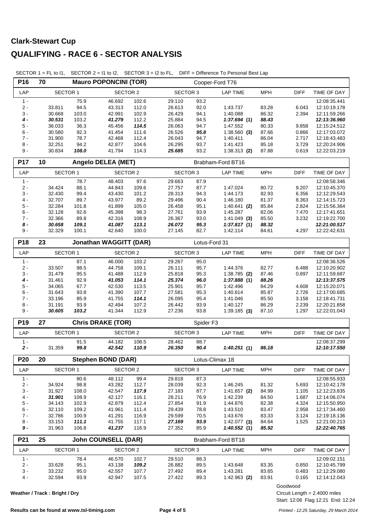| P16             | 70                            |                | <b>Mauro POPONCINI (TOR)</b>  |                |                  |               | Cooper-Ford T76         |                |                                 |                              |
|-----------------|-------------------------------|----------------|-------------------------------|----------------|------------------|---------------|-------------------------|----------------|---------------------------------|------------------------------|
| LAP             | <b>SECTOR 1</b>               |                | <b>SECTOR 2</b>               |                | <b>SECTOR 3</b>  |               | <b>LAP TIME</b>         | <b>MPH</b>     | <b>DIFF</b>                     | TIME OF DAY                  |
| $1 -$           |                               | 75.9           | 46.692                        | 102.6          | 29.110           | 93.2          |                         |                |                                 | 12:08:35.441                 |
| $2 -$           | 33.811                        | 94.5           | 43.313                        | 112.0          | 26.613           | 92.0          | 1:43.737                | 83.28          | 6.043                           | 12:10:19.178                 |
| $3 -$           | 30.668                        | 103.0          | 42.991                        | 102.9          | 26.429           | 94.1          | 1:40.088                | 86.32          | 2.394                           | 12:11:59.266                 |
| $4 -$           | 30.531                        | 103.2          | 41.279                        | 112.2          | 25.884           | 94.5          | 1:37.694(1)             | 88.43          |                                 | 12:13:36.960                 |
| $5 -$           | 36.033                        | 36.3           | 45.456                        | 114.5          | 26.063           | 94.7          | 1:47.552                | 80.33          | 9.858                           | 12:15:24.512                 |
| $6 -$           | 30.580                        | 92.3           | 41.454                        | 111.6          | 26.526           | 95.8          | $1:38.560$ (3)          | 87.66          | 0.866                           | 12:17:03.072                 |
| $7 -$           | 31.900                        | 78.7           | 42.468                        | 112.4          | 26.043           | 94.7          | 1:40.411                | 86.04          | 2.717                           | 12:18:43.483                 |
| $8 -$<br>$9 -$  | 32.251                        | 94.2           | 42.877                        | 104.6          | 26.295           | 93.7          | 1:41.423                | 85.18          | 3.729                           | 12:20:24.906                 |
|                 | 30.834                        | 108.0          | 41.794                        | 114.3          | 25.685           | 93.2          | $1:38.313$ (2)          | 87.88          | 0.619                           | 12:22:03.219                 |
| P17             | 10                            |                | <b>Angelo DELEA (MET)</b>     |                |                  |               | Brabham-Ford BT16       |                |                                 |                              |
| LAP             | <b>SECTOR 1</b>               |                | <b>SECTOR 2</b>               |                | <b>SECTOR 3</b>  |               | <b>LAP TIME</b>         | <b>MPH</b>     | <b>DIFF</b>                     | TIME OF DAY                  |
| $1 -$           |                               | 78.7           | 48.403                        | 97.6           | 29.663           | 87.9          |                         |                |                                 | 12:08:58.346                 |
| $2 -$           | 34.424                        | 88.1           | 44.843                        | 109.6          | 27.757           | 87.7          | 1:47.024                | 80.72          | 9.207                           | 12:10:45.370                 |
| $3 -$           | 32.430                        | 99.4           | 43.430                        | 101.2          | 28.313           | 94.3          | 1:44.173                | 82.93          | 6.356                           | 12:12:29.543                 |
| 4 -             | 32.707                        | 89.7           | 43.977                        | 89.2           | 29.496           | 90.4          | 1:46.180                | 81.37          | 8.363                           | 12:14:15.723                 |
| $5 -$           | 32.284                        | 101.8          | 41.899                        | 105.0          | 26.458           | 95.1          | 1:40.641(2)             | 85.84          | 2.824                           | 12:15:56.364                 |
| $6 -$           | 32.128                        | 92.6           | 45.398                        | 98.3           | 27.761           | 93.9          | 1:45.287                | 82.06          | 7.470                           | 12:17:41.651                 |
| $7 -$<br>$8 -$  | 32.366                        | 89.8           | 42.316                        | 108.9          | 26.367           | 93.0          | $1:41.049$ (3)          | 85.50          | 3.232                           | 12:19:22.700                 |
| 9 -             | 30.658<br>32.329              | 109.1<br>100.1 | 41.087<br>42.640              | 113.1<br>100.0 | 26.072<br>27.145 | 95.3<br>82.7  | 1:37.817(1)<br>1:42.114 | 88.32<br>84.61 | 4.297                           | 12:21:00.517<br>12:22:42.631 |
|                 |                               |                |                               |                |                  |               |                         |                |                                 |                              |
| P18             | 23                            |                | <b>Jonathan WAGGITT (DAR)</b> |                |                  | Lotus-Ford 31 |                         |                |                                 |                              |
| LAP             | <b>SECTOR 1</b>               |                | SECTOR 2                      |                | <b>SECTOR 3</b>  |               | <b>LAP TIME</b>         | <b>MPH</b>     | <b>DIFF</b>                     | TIME OF DAY                  |
| $1 -$           |                               | 87.1           | 46.000                        | 103.2          | 29.267           | 95.0          |                         |                |                                 | 12:08:36.526                 |
| $2$ - $\,$      | 33.507                        | 98.5           | 44.758                        | 109.1          | 26.111           | 95.7          | 1:44.376                | 82.77          | 6.488                           | 12:10:20.902                 |
| $3 -$           | 31.479                        | 95.5           | 41.488                        | 112.9          | 25.818           | 95.3          | $1:38.785$ (2)          | 87.46          | 0.897                           | 12:11:59.687                 |
| $4 -$           | 31.461                        | 92.9           | 41.053                        | 114.1          | 25.374           | 96.0          | 1:37.888(1)             | 88.26          |                                 | 12:13:37.575                 |
| $5 -$           | 34.065                        | 67.7           | 42.530                        | 113.5          | 25.901           | 95.7          | 1:42.496                | 84.29          | 4.608                           | 12:15:20.071                 |
| $6 -$           | 31.643                        | 93.8           | 41.390                        | 107.7          | 27.581           | 95.3          | 1:40.614                | 85.87          | 2.726                           | 12:17:00.685                 |
| $7 -$           | 33.196                        | 85.9           | 41.755                        | 114.1          | 26.095           | 95.4          | 1:41.046                | 85.50          | 3.158                           | 12:18:41.731                 |
| $8 -$<br>$9 -$  | 31.191<br>30.605              | 93.9<br>103.2  | 42.494<br>41.344              | 107.2<br>112.9 | 26.442<br>27.236 | 93.9<br>93.8  | 1:40.127                | 86.29<br>87.10 | 2.239<br>1.297                  | 12:20:21.858<br>12:22:01.043 |
|                 |                               |                |                               |                |                  |               | $1:39.185$ (3)          |                |                                 |                              |
| P <sub>19</sub> | 27                            |                | <b>Chris DRAKE (TOR)</b>      |                |                  | Spider F3     |                         |                |                                 |                              |
| LAP             | <b>SECTOR 1</b>               |                | <b>SECTOR 2</b>               |                | <b>SECTOR 3</b>  |               | <b>LAP TIME</b>         | <b>MPH</b>     | <b>DIFF</b>                     | TIME OF DAY                  |
| $1 -$           |                               | 91.5           | 44.182                        | 108.5          | 28.462           | 88.7          |                         |                |                                 | 12:08:37.299                 |
| $2 -$           | 31.359                        | 99.8           | 42.542                        | 110.9          | 26.350           | 90.4          | 1:40.251(1)             | 86.18          |                                 | 12:10:17.550                 |
| $\sqrt{P}20$    | 20                            |                | <b>Stephen BOND (DAR)</b>     |                |                  |               | Lotus-Climax 18         |                |                                 |                              |
| LAP             | <b>SECTOR 1</b>               |                | <b>SECTOR 2</b>               |                | <b>SECTOR 3</b>  |               | <b>LAP TIME</b>         | <b>MPH</b>     | <b>DIFF</b>                     | TIME OF DAY                  |
| $1 -$           |                               | 80.6           | 48.112                        | 99.4           | 29.818           | 87.3          |                         |                |                                 | 12:08:55.933                 |
| $2 -$           | 34.924                        | 98.8           | 43.282                        | 112.7          | 28.039           | 92.3          | 1:46.245                | 81.32          | 5.693                           | 12:10:42.178                 |
| $3 -$           | 31.927                        | 108.0          | 42.547                        | 117.9          | 27.183           | 87.7          | 1:41.657(2)             | 84.99          | 1.105                           | 12:12:23.835                 |
| $4 -$           | 31.901                        | 108.9          | 42.127                        | 116.1          | 28.211           | 76.9          | 1:42.239                | 84.50          | 1.687                           | 12:14:06.074                 |
| $5-$            | 34.143                        | 102.9          | 42.879                        | 112.4          | 27.854           | 91.9          | 1:44.876                | 82.38          | 4.324                           | 12:15:50.950                 |
| $6 -$           | 32.110                        | 109.2          | 41.961                        | 111.4          | 29.439           | 78.8          | 1:43.510                | 83.47          | 2.958                           | 12:17:34.460                 |
| $7 -$           | 32.786                        | 100.9          | 41.291                        | 116.9          | 29.599           | 70.5          | 1:43.676                | 83.33          | 3.124                           | 12:19:18.136                 |
| $8 -$           | 33.153                        | 111.1          | 41.755                        | 117.1          | 27.169           | 93.9          | 1:42.077(3)             | 84.64          | 1.525                           | 12:21:00.213                 |
| 9 -             | 31.963                        | 106.8          | 41.237                        | 116.9          | 27.352           | 85.9          | 1:40.552(1)             | 85.92          |                                 | 12:22:40.765                 |
| P21             | 25                            |                | <b>John COUNSELL (DAR)</b>    |                |                  |               | Brabham-Ford BT18       |                |                                 |                              |
| LAP             | <b>SECTOR 1</b>               |                | <b>SECTOR 2</b>               |                | <b>SECTOR 3</b>  |               | <b>LAP TIME</b>         | <b>MPH</b>     | DIFF                            | TIME OF DAY                  |
| $1 -$           |                               | 78.4           | 46.570                        | 102.7          | 29.510           | 88.3          |                         |                |                                 | 12:09:02.151                 |
| $2 -$           | 33.628                        | 95.1           | 43.138                        | 109.2          | 26.882           | 89.5          | 1:43.648                | 83.35          | 0.850                           | 12:10:45.799                 |
| $3 -$           | 33.232                        | 95.0           | 42.557                        | 107.7          | 27.492           | 89.4          | 1:43.281                | 83.65          | 0.483                           | 12:12:29.080                 |
| $4 -$           | 32.594                        | 93.9           | 42.947                        | 107.5          | 27.422           | 89.3          | $1:42.963$ (2)          | 83.91          | 0.165                           | 12:14:12.043                 |
|                 |                               |                |                               |                |                  |               |                         |                | Goodwood                        |                              |
|                 | Weather / Track: Bright / Dry |                |                               |                |                  |               |                         |                | Circuit Length = $2.4000$ miles |                              |

SECTOR 1 = FL to I1, SECTOR 2 = I1 to I2, SECTOR 3 = I2 to FL, DIFF = Difference To Personal Best Lap

Start: 12:06 Flag 12:21 End: 12:24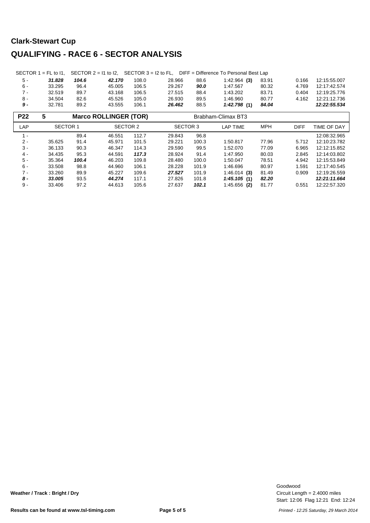|       |        |       |        |       |        |      | SECTOR 1 = FL to 11, SECTOR $2 = 11$ to 12, SECTOR $3 = 12$ to FL, DIFF = Difference To Personal Best Lap |       |       |              |
|-------|--------|-------|--------|-------|--------|------|-----------------------------------------------------------------------------------------------------------|-------|-------|--------------|
| 5 -   | 31.828 | 104.6 | 42.170 | 108.0 | 28.966 | 88.6 | $1:42.964$ (3)                                                                                            | 83.91 | 0.166 | 12:15:55.007 |
| 6 -   | 33.295 | 96.4  | 45.005 | 106.5 | 29.267 | 90.0 | 1:47.567                                                                                                  | 80.32 | 4.769 | 12:17:42.574 |
| $7 -$ | 32.519 | 89.7  | 43.168 | 106.5 | 27.515 | 88.4 | 1:43.202                                                                                                  | 83.71 | 0.404 | 12:19:25.776 |
| 8 -   | 34.504 | 82.6  | 45.526 | 105.0 | 26.930 | 89.5 | 1.46.960                                                                                                  | 80.77 | 4.162 | 12:21:12.736 |
| 9 -   | 32.781 | 89.2  | 43.555 | 106.1 | 26.462 | 88.5 | 1:42.798(1)                                                                                               | 84.04 |       | 12:22:55.534 |

| <b>P22</b>               | 5                                 |       | <b>Marco ROLLINGER (TOR)</b> |        |                 | Brabham-Climax BT3 |                |              |              |              |
|--------------------------|-----------------------------------|-------|------------------------------|--------|-----------------|--------------------|----------------|--------------|--------------|--------------|
| LAP                      | SECTOR 1                          |       | SECTOR 2                     |        | SECTOR 3        |                    | LAP TIME       | <b>MPH</b>   | <b>DIFF</b>  | TIME OF DAY  |
| $\overline{\phantom{a}}$ | 89.4<br>46.551                    |       | 112.7                        | 29.843 | 96.8            |                    |                |              | 12:08:32.965 |              |
| $2 -$                    | 91.4<br>45.971<br>101.5<br>35.625 |       | 29.221                       | 100.3  | 1:50.817        | 77.96              | 5.712          | 12:10:23.782 |              |              |
| $3 -$                    | 36.133                            | 90.3  | 114.3<br>46.347              |        | 29.590          | 99.5               | 1:52.070       | 77.09        | 6.965        | 12:12:15.852 |
| $4 -$                    | 34.435                            | 95.3  | 44.591                       | 117.3  | 28.924          | 91.4               | 1:47.950       | 80.03        | 2.845        | 12:14:03.802 |
| 5 -                      | 35.364                            | 100.4 | 46.203                       | 109.8  | 28.480          | 100.0              | 1:50.047       | 78.51        | 4.942        | 12:15:53.849 |
| $6 -$                    | 33.508                            | 98.8  | 44.960                       | 106.1  | 28.228          | 101.9              | 1:46.696       | 80.97        | 1.591        | 12:17:40.545 |
| $7 -$                    | 33.260                            | 89.9  | 45.227                       | 109.6  | 27.527          | 101.9              | $1:46.014$ (3) | 81.49        | 0.909        | 12:19:26.559 |
| 8 -                      | 33.005                            | 93.5  | 44.274                       | 117.1  | 27.826<br>101.8 |                    | 1:45.105(1)    | 82.20        |              | 12:21:11.664 |
| $9 -$                    | 105.6<br>33.406<br>97.2<br>44.613 |       |                              |        | 27.637          | 102.1              | $1:45.656$ (2) | 81.77        | 0.551        | 12:22:57.320 |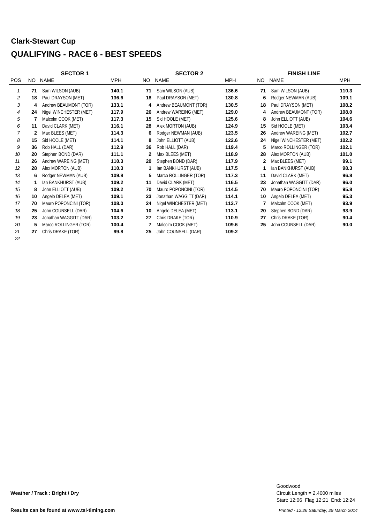#### **Clark-Stewart Cup**

#### **QUALIFYING - RACE 6 - BEST SPEEDS**

|                             |    | <b>SECTOR 1</b>        |       |     | <b>SECTOR 2</b>        | <b>FINISH LINE</b> |     |                        |            |
|-----------------------------|----|------------------------|-------|-----|------------------------|--------------------|-----|------------------------|------------|
| <b>POS</b>                  |    | NO NAME                | MPH   | NO. | <b>NAME</b>            | <b>MPH</b>         | NO. | <b>NAME</b>            | <b>MPH</b> |
| $\mathcal I$                | 71 | Sam WILSON (AUB)       | 140.1 | 71  | Sam WILSON (AUB)       | 136.6              | 71  | Sam WILSON (AUB)       | 110.3      |
| $\mathcal{L}_{\mathcal{L}}$ | 18 | Paul DRAYSON (MET)     | 136.6 | 18  | Paul DRAYSON (MET)     | 130.8              | 6   | Rodger NEWMAN (AUB)    | 109.1      |
| $\mathcal{S}_{\mathcal{S}}$ | 4  | Andrew BEAUMONT (TOR)  | 133.1 | 4   | Andrew BEAUMONT (TOR)  | 130.5              | 18  | Paul DRAYSON (MET)     | 108.2      |
| $\overline{4}$              | 24 | Nigel WINCHESTER (MET) | 117.9 | 26  | Andrew WAREING (MET)   | 129.0              | 4   | Andrew BEAUMONT (TOR)  | 108.0      |
| 5                           |    | Malcolm COOK (MET)     | 117.3 | 15  | Sid HOOLE (MET)        | 125.6              | 8   | John ELLIOTT (AUB)     | 104.6      |
| 6                           | 11 | David CLARK (MET)      | 116.1 | 28  | Alex MORTON (AUB)      | 124.9              | 15  | Sid HOOLE (MET)        | 103.4      |
| 7                           | 2  | Max BLEES (MET)        | 114.3 | 6   | Rodger NEWMAN (AUB)    | 123.5              | 26  | Andrew WAREING (MET)   | 102.7      |
| 8                           | 15 | Sid HOOLE (MET)        | 114.1 | 8   | John ELLIOTT (AUB)     | 122.6              | 24  | Nigel WINCHESTER (MET) | 102.2      |
| 9                           | 36 | Rob HALL (DAR)         | 112.9 | 36  | Rob HALL (DAR)         | 119.4              | 5   | Marco ROLLINGER (TOR)  | 102.1      |
| 10                          | 20 | Stephen BOND (DAR)     | 111.1 | 2   | Max BLEES (MET)        | 118.9              | 28  | Alex MORTON (AUB)      | 101.0      |
| 11                          | 26 | Andrew WAREING (MET)   | 110.3 | 20  | Stephen BOND (DAR)     | 117.9              | 2   | Max BLEES (MET)        | 99.1       |
| 12                          | 28 | Alex MORTON (AUB)      | 110.3 | 1   | Ian BANKHURST (AUB)    | 117.5              | 1   | Ian BANKHURST (AUB)    | 98.3       |
| 13                          | 6  | Rodger NEWMAN (AUB)    | 109.8 | 5   | Marco ROLLINGER (TOR)  | 117.3              | 11  | David CLARK (MET)      | 96.8       |
| 14                          |    | Ian BANKHURST (AUB)    | 109.2 | 11  | David CLARK (MET)      | 116.5              | 23  | Jonathan WAGGITT (DAR) | 96.0       |
| 15                          | 8  | John ELLIOTT (AUB)     | 109.2 | 70  | Mauro POPONCINI (TOR)  | 114.5              | 70  | Mauro POPONCINI (TOR)  | 95.8       |
| 16                          | 10 | Angelo DELEA (MET)     | 109.1 | 23  | Jonathan WAGGITT (DAR) | 114.1              | 10  | Angelo DELEA (MET)     | 95.3       |
| 17                          | 70 | Mauro POPONCINI (TOR)  | 108.0 | 24  | Nigel WINCHESTER (MET) | 113.7              | 7   | Malcolm COOK (MET)     | 93.9       |
| 18                          | 25 | John COUNSELL (DAR)    | 104.6 | 10  | Angelo DELEA (MET)     | 113.1              | 20  | Stephen BOND (DAR)     | 93.9       |
| 19                          | 23 | Jonathan WAGGITT (DAR) | 103.2 | 27  | Chris DRAKE (TOR)      | 110.9              | 27  | Chris DRAKE (TOR)      | 90.4       |
| 20                          | 5  | Marco ROLLINGER (TOR)  | 100.4 | 7   | Malcolm COOK (MET)     | 109.6              | 25  | John COUNSELL (DAR)    | 90.0       |
| 21                          | 27 | Chris DRAKE (TOR)      | 99.8  | 25  | John COUNSELL (DAR)    | 109.2              |     |                        |            |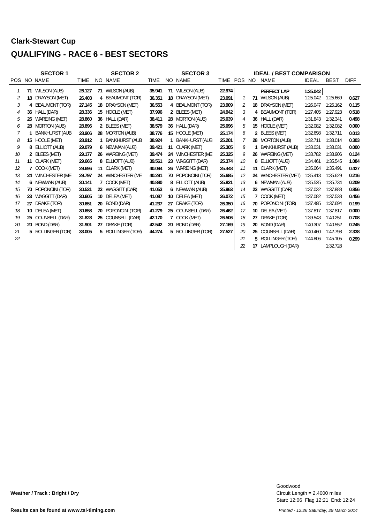#### **Clark-Stewart Cup**

#### **QUALIFYING - RACE 6 - BEST SECTORS**

|    |                 | <b>SECTOR 1</b>       |             |    | <b>SECTOR 2</b>       |             |                 | <b>SECTOR 3</b>       |        |            |              | <b>IDEAL / BEST COMPARISON</b> |          |             |             |
|----|-----------------|-----------------------|-------------|----|-----------------------|-------------|-----------------|-----------------------|--------|------------|--------------|--------------------------------|----------|-------------|-------------|
|    |                 | POS NO NAME           | <b>TIME</b> |    | NO NAME               | <b>TIME</b> |                 | NO NAME               | TIME   | <b>POS</b> | NO.          | NAME                           | IDEAL    | <b>BEST</b> | <b>DIFF</b> |
|    |                 | 71 WILSON (AUB)       | 26.127      | 71 | WILSON (AUB)          | 35.941      | 71              | WILSON (AUB)          | 22.974 |            |              | PERFECT LAP                    | 1:25.042 |             |             |
| 2  | 18              | DRAYSON (MET)         | 26.403      | 4  | BEAUMONT (TOR)        | 36.351      | 18              | DRAYSON (MET)         | 23.091 |            |              | 71 WILSON (AUB)                | 1:25.042 | 1:25.669    | 0.627       |
| 3  | 4               | BEAUMONT (TOR)        | 27.145      | 18 | DRAYSON (MET)         | 36.553      |                 | 4 BEAUMONT (TOR)      | 23.909 |            | 18           | DRAYSON (MET)                  | 1:26.047 | 1:26.162    | 0.115       |
| 4  |                 | 36 HALL (DAR)         | 28.336      | 15 | HOOLE (MET)           | 37.996      |                 | 2 BLEES (MET)         | 24.942 | 3          | 4            | <b>BEAUMONT (TOR)</b>          | 1:27.405 | 1:27.923    | 0.518       |
| 5  | 26              | WAREING (MET)         | 28.860      |    | 36 HALL (DAR)         | 38.411      |                 | 28 MORTON (AUB)       | 25.039 | 4          |              | 36 HALL (DAR)                  | 1:31.843 | 1:32.341    | 0.498       |
| 6  | 28              | <b>MORTON (AUB)</b>   | 28.896      |    | 2 BLEES (MET)         | 38.579      |                 | 36 HALL (DAR)         | 25.096 | 5          |              | 15 HOOLE (MET)                 | 1:32.082 | 1:32.082    | 0.000       |
|    |                 | <b>BANKHURST (AUB</b> | 28.906      |    | 28 MORTON (AUB)       | 38.776      |                 | 15 HOOLE (MET)        | 25.174 | 6          |              | 2 BLEES (MET)                  | 1:32.698 | 1:32.711    | 0.013       |
| 8  |                 | 15 HOOLE (MET)        | 28.912      |    | <b>BANKHURST (AUB</b> | 38.924      |                 | <b>BANKHURST (AUB</b> | 25.201 |            |              | 28 MORTON (AUB)                | 1:32.711 | 1:33.014    | 0.303       |
| 9  | 8               | ELLIOTT (AUB)         | 29.079      |    | 6 NEWMAN (AUB)        | 39.421      |                 | 11 CLARK (MET)        | 25.305 | 8          |              | <b>BANKHURST (AUB)</b>         | 1:33.031 | 1:33.031    | 0.000       |
| 10 |                 | 2 BLEES (MET)         | 29.177      |    | 26 WAREING (MET)      | 39.474      |                 | 24 WINCHESTER (ME)    | 25.325 | 9          |              | 26 WAREING (MET)               | 1:33.782 | 1:33.906    | 0.124       |
| 11 |                 | 11 CLARK (MET)        | 29.665      | 8  | ELLIOTT (AUB)         | 39.561      | 23              | WAGGITT (DAR)         | 25.374 | 10         | 8            | ELLIOTT (AUB)                  | 1:34.461 | 1:35.545    | 1.084       |
| 12 | 7               | COOK (MET)            | 29.696      |    | 11 CLARK (MET)        | 40.094      |                 | 26 WAREING (MET)      | 25.448 | 11         |              | 11 CLARK (MET)                 | 1:35.064 | 1:35.491    | 0.427       |
| 13 |                 | 24 WINCHESTER (ME)    | 29.797      |    | 24 WINCHESTER (ME)    | 40.291      |                 | 70 POPONCINI (TOR)    | 25.685 | 12         |              | 24 WINCHESTER (MET)            | 1:35.413 | 1:35.629    | 0.216       |
| 14 |                 | 6 NEWMAN (AUB)        | 30.141      | 7  | COOK (MET)            | 40.880      |                 | 8 ELLIOTT (AUB)       | 25.821 | 13         |              | 6 NEWMAN (AUB)                 | 1:35.525 | 1:35.734    | 0.209       |
| 15 | 70              | POPONCINI (TOR)       | 30.531      | 23 | WAGGITT (DAR)         | 41.053      |                 | 6 NEWMAN (AUB)        | 25.963 | 14         |              | 23 WAGGITT (DAR)               | 1:37.032 | 1:37.888    | 0.856       |
| 16 | 23              | WAGGITT (DAR)         | 30.605      | 10 | DELEA (MET)           | 41.087      | 10 <sup>°</sup> | DELEA (MET)           | 26.072 | 15         | $\mathbf{7}$ | COOK (MET)                     | 1:37.082 | 1:37.538    | 0.456       |
| 17 | 27              | DRAKE (TOR)           | 30.651      | 20 | BOND (DAR)            | 41.237      | 27              | DRAKE (TOR)           | 26.350 | 16         |              | 70 POPONCINI (TOR)             | 1:37.495 | 1:37.694    | 0.199       |
| 18 | 10 <sup>1</sup> | DELEA (MET)           | 30.658      | 70 | POPONCINI (TOR)       | 41.279      |                 | 25 COUNSELL (DAR)     | 26.462 | 17         |              | 10 DELEA (MET)                 | 1:37.817 | 1:37.817    | 0.000       |
| 19 | 25              | COUNSELL (DAR)        | 31.828      | 25 | COUNSELL (DAR)        | 42.170      |                 | 7 COOK (MET)          | 26.506 | 18         | 27           | DRAKE (TOR)                    | 1:39.543 | 1:40.251    | 0.708       |
| 20 |                 | 20 BOND (DAR)         | 31.901      | 27 | DRAKE (TOR)           | 42.542      |                 | 20 BOND (DAR)         | 27.169 | 19         | 20           | BOND (DAR)                     | 1:40.307 | 1:40.552    | 0.245       |
| 21 |                 | 5 ROLLINGER (TOR)     | 33.005      |    | 5 ROLLINGER (TOR)     | 44.274      |                 | 5 ROLLINGER (TOR)     | 27.527 | 20         |              | 25 COUNSELL (DAR)              | 1:40.460 | 1:42.798    | 2.338       |
| 22 |                 |                       |             |    |                       |             |                 |                       |        | 21         | 5            | ROLLINGER (TOR)                | 1:44.806 | 1:45.105    | 0.299       |
|    |                 |                       |             |    |                       |             |                 |                       |        | 22         | 17           | LAMPLOUGH (DAR)                |          | 1:32.728    |             |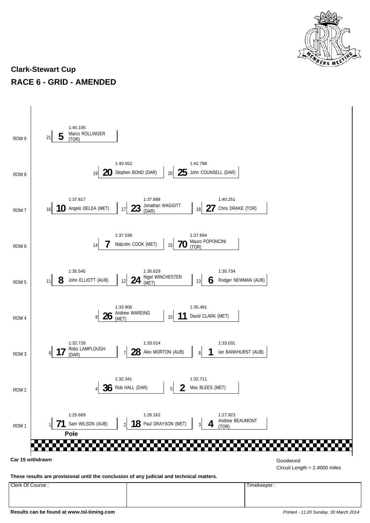

#### **Clark-Stewart Cup RACE 6 - GRID - AMENDED**

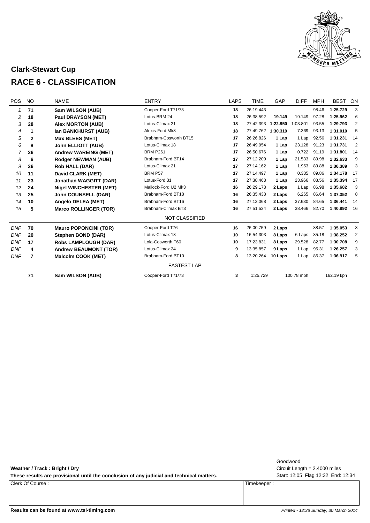

#### **Clark-Stewart Cup RACE 6 - CLASSIFICATION**

| POS        | <b>NO</b>    | <b>NAME</b>                   | <b>ENTRY</b>          | <b>LAPS</b> | <b>TIME</b> | GAP      | <b>DIFF</b> | <b>MPH</b> | <b>BEST</b> | ON             |
|------------|--------------|-------------------------------|-----------------------|-------------|-------------|----------|-------------|------------|-------------|----------------|
|            | 71           | Sam WILSON (AUB)              | Cooper-Ford T71/73    | 18          | 26:19.443   |          |             | 98.46      | 1:25.729    | 3              |
| 2          | 18           | Paul DRAYSON (MET)            | Lotus-BRM 24          | 18          | 26:38.592   | 19.149   | 19.149      | 97.28      | 1:25.962    | 6              |
| 3          | 28           | <b>Alex MORTON (AUB)</b>      | Lotus-Climax 21       | 18          | 27:42.393   | 1:22.950 | 1:03.801    | 93.55      | 1:29.793    | $\overline{2}$ |
| 4          | 1            | Ian BANKHURST (AUB)           | Alexis-Ford Mk8       | 18          | 27:49.762   | 1:30.319 | 7.369       | 93.13      | 1:31.010    | 5              |
| 5          | $\mathbf{2}$ | <b>Max BLEES (MET)</b>        | Brabham-Cosworth BT15 | 17          | 26:26.826   | 1 Lap    | 1 Lap       | 92.56      | 1:31.231    | 14             |
| 6          | 8            | <b>John ELLIOTT (AUB)</b>     | Lotus-Climax 18       | 17          | 26:49.954   | 1 Lap    | 23.128      | 91.23      | 1:31.731    | 2              |
| 7          | 26           | <b>Andrew WAREING (MET)</b>   | <b>BRM P261</b>       | 17          | 26:50.676   | 1 Lap    | 0.722       | 91.19      | 1:31.801    | 14             |
| 8          | 6            | <b>Rodger NEWMAN (AUB)</b>    | Brabham-Ford BT14     | 17          | 27:12.209   | 1 Lap    | 21.533      | 89.98      | 1:32.633    | 9              |
| 9          | 36           | <b>Rob HALL (DAR)</b>         | Lotus-Climax 21       | 17          | 27:14.162   | 1 Lap    | 1.953       | 89.88      | 1:30.389    | 3              |
| 10         | 11           | David CLARK (MET)             | BRM P57               | 17          | 27:14.497   | 1 Lap    | 0.335       | 89.86      | 1:34.178    | -17            |
| 11         | 23           | <b>Jonathan WAGGITT (DAR)</b> | Lotus-Ford 31         | 17          | 27:38.463   | 1 Lap    | 23.966      | 88.56      | 1:35.394    | 17             |
| 12         | 24           | <b>Nigel WINCHESTER (MET)</b> | Mallock-Ford U2 Mk3   | 16          | 26:29.173   | 2 Laps   | 1 Lap       | 86.98      | 1:35.682    | 3              |
| 13         | 25           | <b>John COUNSELL (DAR)</b>    | Brabham-Ford BT18     | 16          | 26:35.438   | 2 Laps   | 6.265       | 86.64      | 1:37.352    | 8              |
| 14         | 10           | Angelo DELEA (MET)            | Brabham-Ford BT16     | 16          | 27:13.068   | 2 Laps   | 37.630      | 84.65      | 1:36.441    | 14             |
| 15         | 5            | <b>Marco ROLLINGER (TOR)</b>  | Brabham-Climax BT3    | 16          | 27:51.534   | 2 Laps   | 38.466      | 82.70      | 1:40.892    | 16             |
|            |              |                               | <b>NOT CLASSIFIED</b> |             |             |          |             |            |             |                |
| <b>DNF</b> | 70           | <b>Mauro POPONCINI (TOR)</b>  | Cooper-Ford T76       | 16          | 26:00.759   | 2 Laps   |             | 88.57      | 1:35.053    | 8              |
| <b>DNF</b> | 20           | Stephen BOND (DAR)            | Lotus-Climax 18       | 10          | 16:54.303   | 8 Laps   | 6 Laps      | 85.18      | 1:38.252    | $\overline{2}$ |
| <b>DNF</b> | 17           | <b>Robs LAMPLOUGH (DAR)</b>   | Lola-Cosworth T60     | 10          | 17:23.831   | 8 Laps   | 29.528      | 82.77      | 1:30.708    | 9              |
| <b>DNF</b> | 4            | <b>Andrew BEAUMONT (TOR)</b>  | Lotus-Climax 24       | 9           | 13:35.857   | 9 Laps   | 1 Lap       | 95.31      | 1:26.257    | 3              |
| <b>DNF</b> | 7            | <b>Malcolm COOK (MET)</b>     | Brabham-Ford BT10     | 8           | 13:20.264   | 10 Laps  | 1 Lap       | 86.37      | 1:36.917    | 5              |
|            |              |                               | <b>FASTEST LAP</b>    |             |             |          |             |            |             |                |
|            | 71           | Sam WILSON (AUB)              | Cooper-Ford T71/73    | 3           | 1:25.729    |          | 100.78 mph  |            | 162.19 kph  |                |

**Weather / Track : Bright / Dry**

These results are provisional until the conclusion of any judicial and technical matters. Start: 12:05 Flag 12:32 End: 12:34

Clerk Of Course : Timekeeper :

Circuit Length = 2.4000 miles Goodwood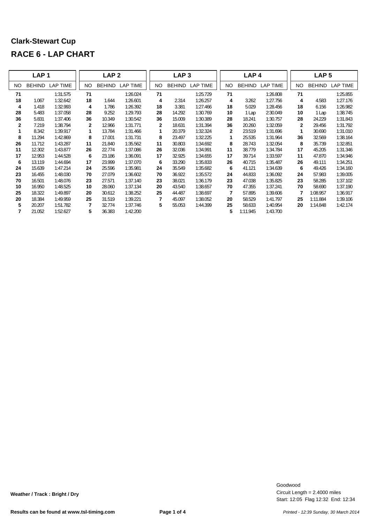|              | LAP <sub>1</sub> |                 |              | LAP <sub>2</sub> |                 |    | LAP <sub>3</sub> |                 |              | LAP <sub>4</sub><br>LAP <sub>5</sub> |          |              |               |                 |
|--------------|------------------|-----------------|--------------|------------------|-----------------|----|------------------|-----------------|--------------|--------------------------------------|----------|--------------|---------------|-----------------|
| NO           | <b>BEHIND</b>    | <b>LAP TIME</b> | NO.          | <b>BEHIND</b>    | <b>LAP TIME</b> | NO | <b>BEHIND</b>    | <b>LAP TIME</b> | NO           | <b>BEHIND</b>                        | LAP TIME | NO.          | <b>BEHIND</b> | <b>LAP TIME</b> |
| 71           |                  | 1:31.575        | 71           |                  | 1:26.024        | 71 |                  | 1:25.729        | 71           |                                      | 1:26.808 | 71           |               | 1:25.855        |
| 18           | 1.067            | 1:32.642        | 18           | 1.644            | 1:26.601        | 4  | 2.314            | 1:26.257        | 4            | 3.262                                | 1:27.756 | 4            | 4.583         | 1:27.176        |
| 4            | 1.418            | 1:32.993        | 4            | 1.786            | 1:26.392        | 18 | 3.381            | 1:27.466        | 18           | 5.029                                | 1:28.456 | 18           | 6.156         | 1:26.982        |
| 28           | 5.483            | 1:37.058        | 28           | 9.252            | 1:29.793        | 28 | 14.292           | 1:30.769        | 10           | 1 Lap                                | 2:30.049 | 10           | 1 Lap         | 1:38.745        |
| 36           | 5.831            | 1:37.406        | 36           | 10.349           | 1:30.542        | 36 | 15.009           | 1:30.389        | 28           | 18.241                               | 1:30.757 | 28           | 24.229        | 1:31.843        |
| $\mathbf{2}$ | 7.219            | 1:38.794        | $\mathbf{2}$ | 12.966           | 1:31.771        | 2  | 18.631           | 1:31.394        | 36           | 20.260                               | 1:32.059 | $\mathbf{2}$ | 29.456        | 1:31.792        |
| 1            | 8.342            | 1:39.917        | 1            | 13.784           | 1:31.466        | 1  | 20.379           | 1:32.324        | $\mathbf{2}$ | 23.519                               | 1:31.696 | 1            | 30.690        | 1:31.010        |
| 8            | 11.294           | 1:42.869        | 8            | 17.001           | 1:31.731        | 8  | 23.497           | 1:32.225        |              | 25.535                               | 1:31.964 | 36           | 32.569        | 1:38.164        |
| 26           | 11.712           | 1:43.287        | 11           | 21.840           | 1:35.562        | 11 | 30.803           | 1:34.692        | 8            | 28.743                               | 1:32.054 | 8            | 35.739        | 1:32.851        |
| 11           | 12.302           | 1:43.877        | 26           | 22.774           | 1:37.086        | 26 | 32.036           | 1:34.991        | 11           | 38.779                               | 1:34.784 | 17           | 45.205        | 1:31.346        |
| 17           | 12.953           | 1:44.528        | 6            | 23.186           | 1:36.091        | 17 | 32.925           | 1:34.655        | 17           | 39.714                               | 1:33.597 | 11           | 47.870        | 1:34.946        |
| 6            | 13.119           | 1:44.694        | 17           | 23.999           | 1:37.070        | 6  | 33.290           | 1:35.833        | 26           | 40.715                               | 1:35.487 | 26           | 49.111        | 1:34.251        |
| 24           | 15.639           | 1:47.214        | 24           | 25.596           | 1:35.981        | 24 | 35.549           | 1:35.682        | 6            | 41.121                               | 1:34.639 | 6            | 49.426        | 1:34.160        |
| 23           | 16.455           | 1:48.030        | 70           | 27.079           | 1:36.602        | 70 | 36.922           | 1:35.572        | 24           | 44.833                               | 1:36.092 | 24           | 57.983        | 1:39.005        |
| 70           | 16.501           | 1:48.076        | 23           | 27.571           | 1:37.140        | 23 | 38.021           | 1:36.179        | 23           | 47.038                               | 1:35.825 | 23           | 58.285        | 1:37.102        |
| 10           | 16.950           | 1:48.525        | 10           | 28.060           | 1:37.134        | 20 | 43.540           | 1:38.657        | 70           | 47.355                               | 1:37.241 | 70           | 58.690        | 1:37.190        |
| 25           | 18.322           | 1:49.897        | 20           | 30.612           | 1:38.252        | 25 | 44.487           | 1:38.697        | 7            | 57.895                               | 1:39.606 | 7            | 1:08.957      | 1:36.917        |
| 20           | 18.384           | 1:49.959        | 25           | 31.519           | 1:39.221        | 7  | 45.097           | 1:38.052        | 20           | 58.529                               | 1:41.797 | 25           | 1:11.884      | 1:39.106        |
| 5            | 20.207           | 1:51.782        | 7            | 32.774           | 1:37.746        | 5  | 55.053           | 1:44.399        | 25           | 58.633                               | 1:40.954 | 20           | 1:14.848      | 1:42.174        |
| 7            | 21.052           | 1:52.627        | 5            | 36.383           | 1:42.200        |    |                  |                 | 5            | 1:11.945                             | 1:43.700 |              |               |                 |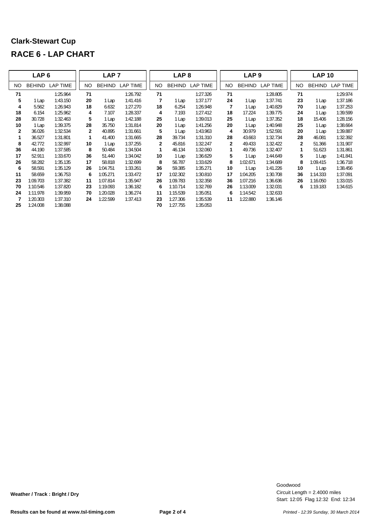|              | LAP <sub>6</sub> |          |              | LAP <sub>7</sub> |                 |              | LAP <sub>8</sub> |          |              | LAP <sub>9</sub> |                 |              | <b>LAP 10</b> |          |
|--------------|------------------|----------|--------------|------------------|-----------------|--------------|------------------|----------|--------------|------------------|-----------------|--------------|---------------|----------|
| NO.          | <b>BEHIND</b>    | LAP TIME | NO.          | <b>BEHIND</b>    | <b>LAP TIME</b> | <b>NO</b>    | <b>BEHIND</b>    | LAP TIME | NO.          | <b>BEHIND</b>    | <b>LAP TIME</b> | NO.          | <b>BEHIND</b> | LAP TIME |
| 71           |                  | 1:25.964 | 71           |                  | 1:26.792        | 71           |                  | 1:27.326 | 71           |                  | 1:28.805        | 71           |               | 1:29.974 |
| 5            | 1 Lap            | 1:43.150 | 20           | 1 Lap            | 1:41.416        | 7            | 1 Lap            | 1:37.177 | 24           | 1 Lap            | 1:37.741        | 23           | 1 Lap         | 1:37.186 |
| 4            | 5.562            | 1:26.943 | 18           | 6.632            | 1:27.270        | 18           | 6.254            | 1:26.948 | 7            | 1 Lap            | 1:40.829        | 70           | 1 Lap         | 1:37.253 |
| 18           | 6.154            | 1:25.962 | 4            | 7.107            | 1:28.337        | 4            | 7.193            | 1:27.412 | 18           | 17.224           | 1:39.775        | 24           | 1 Lap         | 1:39.599 |
| 28           | 30.728           | 1:32.463 | 5            | 1 Lap            | 1:42.188        | 25           | 1 Lap            | 1:39.013 | 25           | 1 Lap            | 1:37.352        | 18           | 15.406        | 1:28.156 |
| 10           | 1 Lap            | 1:39.375 | 28           | 35.750           | 1:31.814        | 20           | 1 Lap            | 1:41.256 | 20           | 1 Lap            | 1:40.948        | 25           | 1 Lap         | 1:38.664 |
| $\mathbf{2}$ | 36.026           | 1:32.534 | $\mathbf{2}$ | 40.895           | 1:31.661        | 5            | 1 Lap            | 1:43.963 | 4            | 30.979           | 1:52.591        | 20           | 1 Lap         | 1:39.887 |
| 1            | 36.527           | 1:31.801 | 1            | 41.400           | 1:31.665        | 28           | 39.734           | 1:31.310 | 28           | 43.663           | 1:32.734        | 28           | 46.081        | 1:32.392 |
| 8            | 42.772           | 1:32.997 | 10           | 1 Lap            | 1:37.255        | $\mathbf{2}$ | 45.816           | 1:32.247 | $\mathbf{2}$ | 49.433           | 1:32.422        | $\mathbf{2}$ | 51.366        | 1:31.907 |
| 36           | 44.190           | 1:37.585 | 8            | 50.484           | 1:34.504        | 1            | 46.134           | 1:32.060 |              | 49.736           | 1:32.407        | 1            | 51.623        | 1:31.861 |
| 17           | 52.911           | 1:33.670 | 36           | 51.440           | 1:34.042        | 10           | 1 Lap            | 1:36.629 | 5            | 1 Lap            | 1:44.649        | 5            | 1 Lap         | 1:41.841 |
| 26           | 58.282           | 1:35.135 | 17           | 58.818           | 1:32.699        | 8            | 56.787           | 1:33.629 | 8            | 1:02.671         | 1:34.689        | 8            | 1:09.415      | 1:36.718 |
| 6            | 58.591           | 1:35.129 | 26           | 1:04.751         | 1:33.261        | 36           | 59.385           | 1:35.271 | 10           | 1 Lap            | 1:41.226        | 10           | 1 Lap         | 1:38.456 |
| 11           | 58.659           | 1:36.753 | 6            | 1:05.271         | 1:33.472        | 17           | :02.302          | 1:30.810 | 17           | 1:04.205         | 1:30.708        | 36           | 1:14.333      | 1:37.091 |
| 23           | 1:09.703         | 1:37.382 | 11           | 1:07.814         | 1:35.947        | 26           | :09.783          | 1:32.358 | 36           | 1:07.216         | 1:36.636        | 26           | 1:16.050      | 1:33.015 |
| 70           | 1:10.546         | 1:37.820 | 23           | 1:19.093         | 1:36.182        | 6            | 1:10.714         | 1:32.769 | 26           | 1:13.009         | 1:32.031        | 6            | 1:19.183      | 1:34.615 |
| 24           | 1:11.978         | 1:39.959 | 70           | 1:20.028         | 1:36.274        | 11           | 1:15.539         | 1:35.051 | 6            | 1:14.542         | 1:32.633        |              |               |          |
| 7            | 1:20.303         | 1:37.310 | 24           | 1:22.599         | 1:37.413        | 23           | 1:27.306         | 1:35.539 | 11           | 1:22.880         | 1:36.146        |              |               |          |
| 25           | 1:24.008         | 1:38.088 |              |                  |                 | 70           | 1:27.755         | 1:35.053 |              |                  |                 |              |               |          |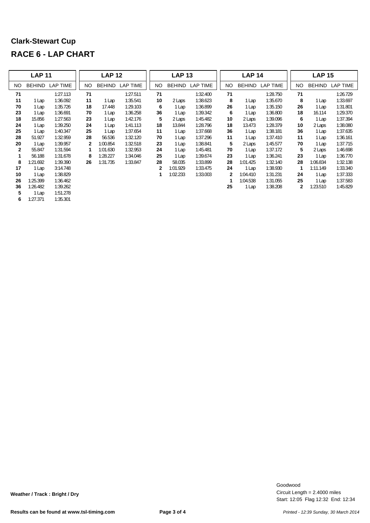|              | <b>LAP 11</b> |                 |              | <b>LAP 12</b> |                 |              | <b>LAP 13</b> |          |     | <b>LAP 14</b> |                 |              | <b>LAP 15</b> |                 |
|--------------|---------------|-----------------|--------------|---------------|-----------------|--------------|---------------|----------|-----|---------------|-----------------|--------------|---------------|-----------------|
| NO.          | BEHIND        | <b>LAP TIME</b> | NO.          | <b>BEHIND</b> | <b>LAP TIME</b> | NO.          | <b>BEHIND</b> | LAP TIME | NO. | <b>BEHIND</b> | <b>LAP TIME</b> | NO.          | <b>BEHIND</b> | <b>LAP TIME</b> |
| 71           |               | 1:27.113        | 71           |               | 1:27.511        | 71           |               | 1:32.400 | 71  |               | 1:28.750        | 71           |               | 1:26.729        |
| 11           | 1 Lap         | 1:36.092        | 11           | 1 Lap         | 1:35.541        | 10           | 2 Laps        | 1:38.623 | 8   | 1 Lap         | 1:35.670        | 8            | 1 Lap         | 1:33.697        |
| 70           | 1 Lap         | 1:35.726        | 18           | 17.448        | 1:29.103        | 6            | 1 Lap         | 1:36.899 | 26  | 1 Lap         | 1:35.150        | 26           | 1 Lap         | 1:31.801        |
| 23           | 1 Lap         | 1:36.691        | 70           | 1 Lap         | 1:36.258        | 36           | 1 Lap         | 1:39.342 | 6   | 1 Lap         | 1:36.800        | 18           | 16.114        | 1:29.370        |
| 18           | 15.856        | 1:27.563        | 23           | 1 Lap         | 1:42.176        | 5            | 2 Laps        | 1:45.482 | 10  | 2 Laps        | 1:39.096        | 6            | 1 Lap         | 1:37.394        |
| 24           | 1 Lap         | 1:39.250        | 24           | 1 Lap         | 1:41.113        | 18           | 13.844        | 1:28.796 | 18  | 13.473        | 1:28.379        | 10           | 2 Laps        | 1:38.080        |
| 25           | 1 Lap         | 1:40.347        | 25           | 1 Lap         | 1:37.654        | 11           | 1 Lap         | 1:37.668 | 36  | 1 Lap         | 1:38.181        | 36           | 1 Lap         | 1:37.635        |
| 28           | 51.927        | 1:32.959        | 28           | 56.536        | 1:32.120        | 70           | 1 Lap         | 1:37.296 | 11  | 1 Lap         | 1:37.410        | 11           | 1 Lap         | 1:36.161        |
| 20           | 1 Lap         | 1:39.957        | $\mathbf{2}$ | 1:00.854      | 1:32.518        | 23           | 1 Lap         | 1:38.841 | 5   | 2 Laps        | 1:45.577        | 70           | 1 Lap         | 1:37.715        |
| $\mathbf{2}$ | 55.847        | 1:31.594        | 1            | 1:01.630      | 1:32.953        | 24           | 1 Lap         | 1:45.481 | 70  | 1 Lap         | 1:37.172        | 5            | 2 Laps        | 1:46.698        |
| 1            | 56.188        | 1:31.678        | 8            | 1:28.227      | 1:34.046        | 25           | 1 Lap         | 1:39.674 | 23  | 1 Lap         | 1:36.241        | 23           | 1 Lap         | 1:36.770        |
| 8            | :21.692       | 1:39.390        | 26           | 1:31.735      | 1:33.847        | 28           | 58.035        | 1:33.899 | 28  | 1:01.425      | 1:32.140        | 28           | 1:06.834      | 1:32.138        |
| 17           | 1 Lap         | 3:14.748        |              |               |                 | $\mathbf{2}$ | 1:01.929      | 1:33.475 | 24  | 1 Lap         | 1:38.930        | 1            | 1:11.149      | 1:33.340        |
| 10           | 1 Lap         | 1:38.829        |              |               |                 | 1            | 1:02.233      | 1:33.003 | 2   | 1:04.410      | 1:31.231        | 24           | 1 Lap         | 1:37.333        |
| 26           | 1:25.399      | 1:36.462        |              |               |                 |              |               |          | 1   | 1:04.538      | 1:31.055        | 25           | 1 Lap         | 1:37.583        |
| 36           | 1:26.482      | 1:39.262        |              |               |                 |              |               |          | 25  | 1 Lap         | 1:38.208        | $\mathbf{2}$ | 1:23.510      | 1:45.829        |
| 5            | 1 Lap         | 1:51.278        |              |               |                 |              |               |          |     |               |                 |              |               |                 |
| 6            | 1:27.371      | 1:35.301        |              |               |                 |              |               |          |     |               |                 |              |               |                 |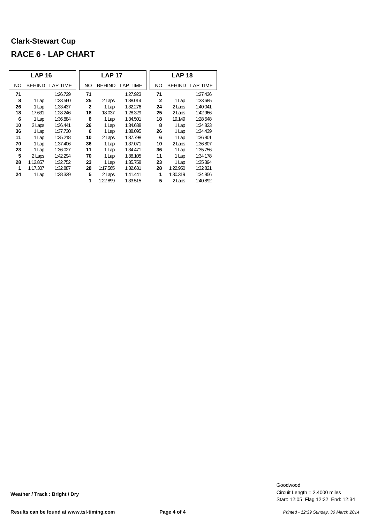|           | <b>LAP 16</b> |                 |              | <b>LAP 17</b> |                 |              | <b>LAP 18</b> |                 |
|-----------|---------------|-----------------|--------------|---------------|-----------------|--------------|---------------|-----------------|
| <b>NO</b> | <b>BEHIND</b> | <b>LAP TIME</b> | <b>NO</b>    | <b>BEHIND</b> | <b>LAP TIME</b> | <b>NO</b>    | <b>BEHIND</b> | <b>LAP TIME</b> |
| 71        |               | 1:26.729        | 71           |               | 1:27.923        | 71           |               | 1:27.436        |
| 8         | 1 Lap         | 1:33.560        | 25           | 2 Laps        | 1:38.014        | $\mathbf{2}$ | 1 Lap         | 1:33.685        |
| 26        | 1 Lap         | 1:33.437        | $\mathbf{2}$ | 1 Lap         | 1:32.276        | 24           | 2 Laps        | 1:40.041        |
| 18        | 17.631        | 1:28.246        | 18           | 18.037        | 1:28.329        | 25           | 2 Laps        | 1:42.966        |
| 6         | 1 Lap         | 1:36.884        | 8            | 1 Lap         | 1:34.501        | 18           | 19.149        | 1:28.548        |
| 10        | 2 Laps        | 1:36.441        | 26           | 1 Lap         | 1:34.638        | 8            | 1 Lap         | 1:34.823        |
| 36        | 1 Lap         | 1:37.730        | 6            | 1 Lap         | 1:38.095        | 26           | 1 Lap         | 1:34.439        |
| 11        | 1 Lap         | 1:35.218        | 10           | 2 Laps        | 1:37.798        | 6            | 1 Lap         | 1:36.801        |
| 70        | 1 Lap         | 1:37.406        | 36           | 1 Lap         | 1:37.071        | 10           | 2 Laps        | 1:36.807        |
| 23        | 1 Lap         | 1:36.027        | 11           | 1 Lap         | 1:34.471        | 36           | 1 Lap         | 1:35.756        |
| 5         | 2 Laps        | 1:42.294        | 70           | 1 Lap         | 1:38.105        | 11           | 1 Lap         | 1:34.178        |
| 28        | 1:12.857      | 1:32.752        | 23           | 1 Lap         | 1:35.758        | 23           | 1 Lap         | 1:35.394        |
| 1         | 1:17.307      | 1:32.887        | 28           | 1:17.565      | 1:32.631        | 28           | 1:22.950      | 1:32.821        |
| 24        | 1 Lap         | 1:38.339        | 5            | 2 Laps        | 1:41.441        | 1            | 1:30.319      | 1:34.856        |
|           |               |                 | 1            | 1:22.899      | 1:33.515        | 5            | 2 Laps        | 1:40.892        |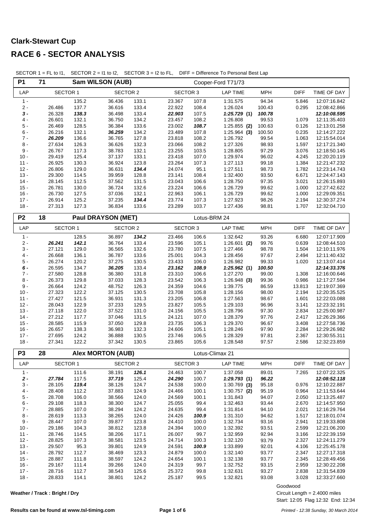| <b>P1</b>        | 71               |                | Sam WILSON (AUB)          |                |                  |                 | Cooper-Ford T71/73   |                |                |                              |
|------------------|------------------|----------------|---------------------------|----------------|------------------|-----------------|----------------------|----------------|----------------|------------------------------|
| LAP              | <b>SECTOR 1</b>  |                | <b>SECTOR 2</b>           |                |                  | <b>SECTOR 3</b> | <b>LAP TIME</b>      | <b>MPH</b>     | <b>DIFF</b>    | TIME OF DAY                  |
| $1 -$            |                  | 135.2          | 36.436                    | 133.1          | 23.367           | 107.8           | 1:31.575             | 94.34          | 5.846          | 12:07:16.842                 |
| $2 -$            | 26.486           | 137.7          | 36.616                    | 133.4          | 22.922           | 108.4           | 1:26.024             | 100.43         | 0.295          | 12:08:42.866                 |
| $3 -$            | 26.328           | 138.3          | 36.498                    | 133.4          | 22.903           | 107.5           | 1:25.729(1)          | 100.78         |                | 12:10:08.595                 |
| $4 -$            | 26.601           | 132.1          | 36.750                    | 134.2          | 23.457           | 108.2           | 1:26.808             | 99.53          | 1.079          | 12:11:35.403                 |
| $5 -$            | 26.469           | 128.5          | 36.384                    | 133.6          | 23.002           | 108.7           | $1:25.855$ (2)       | 100.63         | 0.126          | 12:13:01.258                 |
| 6 -              | 26.216           | 132.1          | 36.259                    | 134.2          | 23.489           | 107.8           | $1:25.964$ (3)       | 100.50         | 0.235          | 12:14:27.222                 |
| $7 -$<br>$8 -$   | 26.209           | 136.6          | 36.765                    | 127.8          | 23.818           | 108.2           | 1:26.792<br>1:27.326 | 99.54          | 1.063          | 12:15:54.014                 |
| $9 -$            | 27.634<br>26.767 | 126.3          | 36.626<br>38.783          | 132.3          | 23.066           | 108.2           |                      | 98.93<br>97.29 | 1.597<br>3.076 | 12:17:21.340                 |
| $10 -$           | 29.419           | 117.3<br>125.4 | 37.137                    | 132.1<br>133.1 | 23.255<br>23.418 | 103.5<br>107.0  | 1:28.805<br>1:29.974 | 96.02          | 4.245          | 12:18:50.145<br>12:20:20.119 |
| $11 -$           | 26.925           | 130.3          | 36.924                    | 123.8          | 23.264           | 107.3           | 1:27.113             | 99.18          | 1.384          | 12:21:47.232                 |
| $12 -$           | 26.806           | 129.0          | 36.631                    | 134.4          | 24.074           | 95.1            | 1:27.511             | 98.73          | 1.782          | 12:23:14.743                 |
| $13 -$           | 29.300           | 114.5          | 39.959                    | 128.8          | 23.141           | 108.4           | 1:32.400             | 93.50          | 6.671          | 12:24:47.143                 |
| $14 -$           | 28.145           | 112.5          | 37.562                    | 131.5          | 23.043           | 106.6           | 1:28.750             | 97.35          | 3.021          | 12:26:15.893                 |
| $15 -$           | 26.781           | 130.0          | 36.724                    | 132.6          | 23.224           | 106.6           | 1:26.729             | 99.62          | 1.000          | 12:27:42.622                 |
| $16 -$           | 26.730           | 127.5          | 37.036                    | 132.1          | 22.963           | 106.1           | 1:26.729             | 99.62          | 1.000          | 12:29:09.351                 |
| $17 -$           | 26.914           | 125.2          | 37.235                    | 134.4          | 23.774           | 107.3           | 1:27.923             | 98.26          | 2.194          | 12:30:37.274                 |
| $18 -$           | 27.313           | 127.3          | 36.834                    | 133.6          | 23.289           | 103.7           | 1:27.436             | 98.81          | 1.707          | 12:32:04.710                 |
| P <sub>2</sub>   | 18               |                | <b>Paul DRAYSON (MET)</b> |                |                  |                 | Lotus-BRM 24         |                |                |                              |
|                  |                  |                |                           |                |                  |                 |                      |                |                |                              |
| LAP              | <b>SECTOR 1</b>  |                | <b>SECTOR 2</b>           |                |                  | <b>SECTOR 3</b> | <b>LAP TIME</b>      | <b>MPH</b>     | <b>DIFF</b>    | TIME OF DAY                  |
| $1 -$            |                  | 128.5          | 36.897                    | 134.2          | 23.466           | 106.6           | 1:32.642             | 93.26          | 6.680          | 12:07:17.909                 |
| $2 -$            | 26.241           | 142.1          | 36.764                    | 133.4          | 23.596           | 105.1           | $1:26.601$ (2)       | 99.76          | 0.639          | 12:08:44.510                 |
| $3 -$<br>4 -     | 27.121<br>26.668 | 129.0          | 36.565<br>36.787          | 132.6          | 23.780<br>25.001 | 107.5           | 1:27.466             | 98.78<br>97.67 | 1.504<br>2.494 | 12:10:11.976                 |
| $5 -$            | 26.274           | 136.1<br>120.2 | 37.275                    | 133.6<br>130.5 | 23.433           | 104.3<br>106.0  | 1:28.456<br>1:26.982 | 99.33          | 1.020          | 12:11:40.432<br>12:13:07.414 |
| 6 -              | 26.595           | 134.7          | 36.205                    | 133.4          | 23.162           | 108.9           | 1:25.962(1)          | 100.50         |                | 12:14:33.376                 |
| $7 -$            | 27.580           | 128.8          | 36.380                    | 131.8          | 23.310           | 106.6           | 1:27.270             | 99.00          | 1.308          | 12:16:00.646                 |
| $8 -$            | 26.373           | 129.8          | 37.033                    | 128.3          | 23.542           | 106.3           | $1:26.948$ (3)       | 99.36          | 0.986          | 12:17:27.594                 |
| $9 -$            | 26.664           | 124.2          | 48.752                    | 126.3          | 24.359           | 104.6           | 1:39.775             | 86.59          | 13.813         | 12:19:07.369                 |
| $10 -$           | 27.323           | 122.2          | 37.125                    | 130.5          | 23.708           | 105.8           | 1:28.156             | 98.00          | 2.194          | 12:20:35.525                 |
| $11 -$           | 27.427           | 121.5          | 36.931                    | 131.3          | 23.205           | 106.8           | 1:27.563             | 98.67          | 1.601          | 12:22:03.088                 |
| $12 -$           | 28.043           | 122.9          | 37.233                    | 129.5          | 23.827           | 105.5           | 1:29.103             | 96.96          | 3.141          | 12:23:32.191                 |
| $13 -$           | 27.118           | 122.0          | 37.522                    | 131.0          | 24.156           | 105.5           | 1:28.796             | 97.30          | 2.834          | 12:25:00.987                 |
| $14 -$           | 27.212           | 117.7          | 37.046                    | 131.5          | 24.121           | 107.0           | 1:28.379             | 97.76          | 2.417          | 12:26:29.366                 |
| $15 -$           | 28.585           | 115.9          | 37.050                    | 129.8          | 23.735           | 106.3           | 1:29.370             | 96.67          | 3.408          | 12:27:58.736                 |
| $16 -$<br>$17 -$ | 26.657<br>27.695 | 138.3<br>124.2 | 36.983<br>36.888          | 132.3<br>130.5 | 24.606<br>23.746 | 105.1<br>106.5  | 1:28.246<br>1:28.329 | 97.90<br>97.81 | 2.284<br>2.367 | 12:29:26.982<br>12:30:55.311 |
| $18 -$           | 27.341           | 122.2          | 37.342                    | 130.5          | 23.865           | 105.6           | 1:28.548             | 97.57          | 2.586          | 12:32:23.859                 |
|                  |                  |                |                           |                |                  |                 |                      |                |                |                              |
| P <sub>3</sub>   | 28               |                | <b>Alex MORTON (AUB)</b>  |                |                  |                 | Lotus-Climax 21      |                |                |                              |
| LAP              | <b>SECTOR 1</b>  |                | SECTOR 2                  |                |                  | SECTOR 3        | LAP TIME             | <b>MPH</b>     | <b>DIFF</b>    | TIME OF DAY                  |
| $1 -$            |                  | 111.6          | 38.191                    | 126.1          | 24.463           | 100.7           | 1:37.058             | 89.01          | 7.265          | 12:07:22.325                 |
| $2 -$            | 27.784           | 117.5          | 37.719                    | 125.4          | 24.290           | 100.7           | 1:29.793(1)          | 96.22          |                | 12:08:52.118                 |
| 3 -              | 28.105           | 119.4          | 38.126                    | 124.7          | 24.538           | 100.0           | $1:30.769$ (3)       | 95.18          | 0.976          | 12:10:22.887                 |
| $4 -$            | 28.408           | 112.2          | 37.883                    | 124.9          | 24.466           | 100.1           | $1:30.757$ (2)       | 95.19          | 0.964          | 12:11:53.644                 |
| $5 -$            | 28.708           | 106.0          | 38.566                    | 124.0          | 24.569           | 100.1           | 1:31.843             | 94.07          | 2.050          | 12:13:25.487                 |
| $6 -$            | 29.108           | 118.3          | 38.300                    | 124.7          | 25.055           | 99.4            | 1:32.463             | 93.44          | 2.670          | 12:14:57.950                 |
| $7 -$            | 28.885           | 107.0          | 38.294                    | 124.2          | 24.635           | 99.4            | 1:31.814             | 94.10          | 2.021          | 12:16:29.764                 |
| $8 -$<br>9 -     | 28.619<br>28.447 | 113.3<br>107.0 | 38.265<br>39.877          | 124.0<br>123.8 | 24.426<br>24.410 | 100.9<br>100.0  | 1:31.310<br>1:32.734 | 94.62<br>93.16 | 1.517<br>2.941 | 12:18:01.074<br>12:19:33.808 |
| $10 -$           | 29.186           | 104.3          | 38.812                    | 123.8          | 24.394           | 100.0           | 1:32.392             | 93.51          | 2.599          | 12:21:06.200                 |
| $11 -$           | 28.746           | 114.5          | 38.206                    | 117.1          | 26.007           | 99.7            | 1:32.959             | 92.94          | 3.166          | 12:22:39.159                 |
| $12 -$           | 28.825           | 107.3          | 38.581                    | 123.5          | 24.714           | 100.3           | 1:32.120             | 93.79          | 2.327          | 12:24:11.279                 |
| $13 -$           | 29.507           | 95.3           | 39.801                    | 124.9          | 24.591           | 100.9           | 1:33.899             | 92.01          | 4.106          | 12:25:45.178                 |
| $14 -$           | 28.792           | 112.7          | 38.469                    | 123.3          | 24.879           | 100.0           | 1:32.140             | 93.77          | 2.347          | 12:27:17.318                 |
| $15 -$           | 28.887           | 111.8          | 38.597                    | 124.2          | 24.654           | 100.1           | 1:32.138             | 93.77          | 2.345          | 12:28:49.456                 |
| $16 -$           | 29.167           | 111.4          | 39.266                    | 124.0          | 24.319           | 99.7            | 1:32.752             | 93.15          | 2.959          | 12:30:22.208                 |
| $17 -$           | 28.716           | 112.7          | 38.543                    | 125.6          | 25.372           | 99.8            | 1:32.631             | 93.27          | 2.838          | 12:31:54.839                 |
| $18 -$           | 28.833           | 114.1          | 38.801                    | 124.2          | 25.187           | 99.5            | 1:32.821             | 93.08          | 3.028          | 12:33:27.660                 |
|                  |                  |                |                           |                |                  |                 |                      |                | Goodwood       |                              |

SECTOR 1 = FL to I1, SECTOR 2 = I1 to I2, SECTOR 3 = I2 to FL, DIFF = Difference To Personal Best Lap

**Weather / Track : Bright / Dry**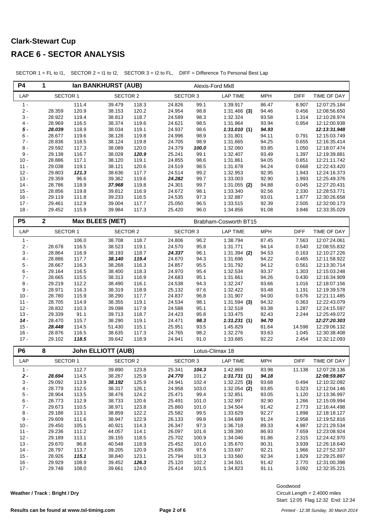# **Clark-Stewart Cup**

#### **RACE 6 - SECTOR ANALYSIS**

| <b>P4</b>        | 1<br>Ian BANKHURST (AUB) |                |                           |                | Alexis-Ford Mk8    |                |                             |                     |                       |                              |
|------------------|--------------------------|----------------|---------------------------|----------------|--------------------|----------------|-----------------------------|---------------------|-----------------------|------------------------------|
| LAP              | <b>SECTOR 1</b>          |                | <b>SECTOR 2</b>           |                | <b>SECTOR 3</b>    |                | <b>LAP TIME</b>             | <b>MPH</b>          | <b>DIFF</b>           | TIME OF DAY                  |
| $1 -$            |                          | 111.4          | 39.479                    | 118.3          | 24.826             | 99.1           | 1:39.917                    | 86.47               | 8.907                 | 12:07:25.184                 |
| $2 -$            | 28.359                   | 120.9          | 38.153                    | 120.2          | 24.954             | 98.8           | $1:31.466$ (3)              | 94.46               | 0.456                 | 12:08:56.650                 |
| $3 -$<br>$4 -$   | 28.922<br>28.969         | 119.4<br>116.5 | 38.813<br>38.374          | 118.7<br>119.6 | 24.589<br>24.621   | 98.3           | 1:32.324<br>1:31.964        | 93.58<br>93.94      | 1.314<br>0.954        | 12:10:28.974<br>12:12:00.938 |
| $5 -$            | 28.039                   | 118.9          | 38.034                    | 119.1          | 24.937             | 98.5<br>98.6   | 1:31.010(1)                 | 94.93               |                       | 12:13:31.948                 |
| $6 -$            | 28.677                   | 119.6          | 38.128                    | 119.8          | 24.996             | 98.9           | 1:31.801                    | 94.11               | 0.791                 | 12:15:03.749                 |
| $7 -$            | 28.836                   | 118.5          | 38.124                    | 119.8          | 24.705             | 98.9           | 1:31.665                    | 94.25               | 0.655                 | 12:16:35.414                 |
| $8 -$            | 29.592                   | 117.3          | 38.089                    | 120.0          | 24.379             | 100.0          | 1:32.060                    | 93.85               | 1.050                 | 12:18:07.474                 |
| $9 -$            | 29.138                   | 116.7          | 38.028                    | 120.9          | 25.241             | 99.1           | 1:32.407                    | 93.49               | 1.397                 | 12:19:39.881                 |
| $10 -$           | 28.886                   | 117.1          | 38.120                    | 119.1          | 24.855             | 98.6           | 1:31.861                    | 94.05               | 0.851                 | 12:21:11.742                 |
| $11 -$           | 29.038                   | 119.1          | 38.121                    | 120.6          | 24.519             | 98.5           | 1:31.678                    | 94.24               | 0.668                 | 12:22:43.420                 |
| $12 -$           | 29.803                   | 121.3          | 38.636                    | 117.7          | 24.514             | 99.2           | 1:32.953                    | 92.95               | 1.943                 | 12:24:16.373                 |
| $13 -$           | 29.359                   | 96.6           | 39.362                    | 119.6          | 24.282             | 99.7           | 1:33.003                    | 92.90               | 1.993                 | 12:25:49.376                 |
| $14 -$<br>$15 -$ | 28.786                   | 118.9          | 37.968                    | 119.8<br>116.9 | 24.301             | 99.7           | $1:31.055$ (2)              | 94.88               | 0.045                 | 12:27:20.431                 |
| $16 -$           | 28.856<br>29.119         | 119.8<br>111.8 | 39.812<br>39.233          | 116.5          | 24.672<br>24.535   | 98.1<br>97.3   | 1:33.340<br>1:32.887        | 92.56<br>93.01      | 2.330<br>1.877        | 12:28:53.771<br>12:30:26.658 |
| $17 -$           | 29.461                   | 112.9          | 39.004                    | 117.7          | 25.050             | 96.5           | 1:33.515                    | 92.39               | 2.505                 | 12:32:00.173                 |
| $18 -$           | 29.452                   | 115.9          | 39.984                    | 117.3          | 25.420             | 96.0           | 1:34.856                    | 91.08               | 3.846                 | 12:33:35.029                 |
|                  |                          |                |                           |                |                    |                |                             |                     |                       |                              |
| P <sub>5</sub>   | 2                        |                | <b>Max BLEES (MET)</b>    |                |                    |                | Brabham-Cosworth BT15       |                     |                       |                              |
| LAP              | <b>SECTOR 1</b>          |                | <b>SECTOR 2</b>           |                | <b>SECTOR 3</b>    |                | <b>LAP TIME</b>             | <b>MPH</b>          | <b>DIFF</b>           | TIME OF DAY                  |
| $1 -$            |                          | 106.0          | 38.708                    | 118.7          | 24.806             | 96.2           | 1:38.794                    | 87.45               | 7.563                 | 12:07:24.061                 |
| $2 -$<br>$3 -$   | 28.678                   | 116.5          | 38.523                    | 119.1          | 24.570             | 95.8<br>96.1   | 1:31.771                    | 94.14               | 0.540<br>0.163        | 12:08:55.832                 |
| $4 -$            | 28.864<br>28.886         | 116.9<br>117.7 | 38.193<br>38.140          | 118.7<br>119.4 | 24.337<br>24.670   | 94.3           | $1:31.394$ (2)<br>1:31.696  | 94.53<br>94.22      | 0.465                 | 12:10:27.226<br>12:11:58.922 |
| $5$ -            | 28.667                   | 116.3          | 38.268                    | 116.3          | 24.857             | 95.5           | 1:31.792                    | 94.12               | 0.561                 | 12:13:30.714                 |
| $6 -$            | 29.164                   | 116.5          | 38.400                    | 118.3          | 24.970             | 95.4           | 1:32.534                    | 93.37               | 1.303                 | 12:15:03.248                 |
| $7 -$            | 28.665                   | 115.5          | 38.313                    | 116.9          | 24.683             | 95.1           | 1:31.661                    | 94.26               | 0.430                 | 12:16:34.909                 |
| $8 -$            | 29.219                   | 112.2          | 38.490                    | 116.1          | 24.538             | 94.3           | 1:32.247                    | 93.66               | 1.016                 | 12:18:07.156                 |
| $9 -$            | 28.971                   | 116.3          | 38.319                    | 118.9          | 25.132             | 97.6           | 1:32.422                    | 93.48               | 1.191                 | 12:19:39.578                 |
| $10 -$           | 28.780                   | 115.9          | 38.290                    | 117.7          | 24.837             | 96.8           | 1:31.907                    | 94.00               | 0.676                 | 12:21:11.485                 |
| $11 -$           | 28.705                   | 114.9          | 38.355                    | 119.1          | 24.534             | 98.1           | $1:31.594$ (3)              | 94.32               | 0.363                 | 12:22:43.079                 |
| $12 -$           | 28.832                   | 110.3          | 39.098                    | 117.9<br>118.7 | 24.588             | 95.1           | 1:32.518                    | 93.38               | 1.287                 | 12:24:15.597                 |
| $13 -$<br>$14 -$ | 29.339<br>28.470         | 91.1<br>115.7  | 39.713<br>38.290          | 119.1          | 24.423<br>24.471   | 95.8<br>98.3   | 1:33.475<br>1:31.231(1)     | 92.43<br>94.70      | 2.244                 | 12:25:49.072<br>12:27:20.303 |
| $15 -$           | 28.448                   | 114.5          | 51.430                    | 115.1          | 25.951             | 93.5           | 1:45.829                    | 81.64               | 14.598                | 12:29:06.132                 |
| $16 -$           | 28.876                   | 116.5          | 38.635                    | 117.3          | 24.765             | 98.2           | 1:32.276                    | 93.63               | 1.045                 | 12:30:38.408                 |
| $17 -$           | 29.102                   | 118.5          | 39.642                    | 118.9          | 24.941             | 91.0           | 1:33.685                    | 92.22               | 2.454                 | 12:32:12.093                 |
| P <sub>6</sub>   | 8                        |                | <b>John ELLIOTT (AUB)</b> |                |                    |                | Lotus-Climax 18             |                     |                       |                              |
|                  |                          |                |                           |                |                    |                |                             |                     |                       |                              |
| LAP<br>$1 -$     | <b>SECTOR 1</b>          | 112.7          | <b>SECTOR 2</b><br>39.890 | 123.8          | SECTOR 3<br>25.341 | 104.3          | <b>LAP TIME</b><br>1:42.869 | <b>MPH</b><br>83.98 | <b>DIFF</b><br>11.138 | TIME OF DAY<br>12:07:28.136  |
| $2 -$            | 28.694                   | 114.5          | 38.267                    | 125.9          | 24.770             | 101.2          | 1:31.731(1)                 | 94.18               |                       | 12:08:59.867                 |
| $3 -$            | 29.092                   | 113.9          | 38.192                    | 125.9          | 24.941             | 102.4          | $1:32.225$ (3)              | 93.68               | 0.494                 | 12:10:32.092                 |
| $4 -$            | 28.779                   | 112.5          | 38.317                    | 126.1          | 24.958             | 103.0          | $1:32.054$ (2)              | 93.85               | 0.323                 | 12:12:04.146                 |
| $5 -$            | 28.904                   | 113.5          | 38.476                    | 124.2          | 25.471             | 99.4           | 1:32.851                    | 93.05               | 1.120                 | 12:13:36.997                 |
| $6 -$            | 28.773                   | 112.9          | 38.733                    | 120.6          | 25.491             | 101.0          | 1:32.997                    | 92.90               | 1.266                 | 12:15:09.994                 |
| $7 -$            | 29.673                   | 110.5          | 38.971                    | 123.8          | 25.860             | 101.0          | 1:34.504                    | 91.42               | 2.773                 | 12:16:44.498                 |
| $8 -$            | 29.188                   | 113.1          | 38.859                    | 122.2          | 25.582             | 99.5           | 1:33.629                    | 92.27               | 1.898                 | 12:18:18.127                 |
| $9 -$            | 29.609                   | 111.6          | 38.947                    | 122.9          | 26.133             | 99.8           | 1:34.689                    | 91.24               | 2.958                 | 12:19:52.816                 |
| $10 -$           | 29.450                   | 105.1          | 40.921                    | 114.3          | 26.347             | 97.3           | 1:36.718                    | 89.33               | 4.987                 | 12:21:29.534                 |
| $11 -$<br>$12 -$ | 29.236                   | 111.2          | 44.057<br>39.155          | 114.1<br>118.5 | 26.097             | 101.6<br>100.9 | 1:39.390                    | 86.93<br>91.86      | 7.659                 | 12:23:08.924                 |
| $13 -$           | 29.189<br>29.670         | 113.1<br>96.8  | 40.548                    | 118.9          | 25.702<br>25.452   | 101.0          | 1:34.046<br>1:35.670        | 90.31               | 2.315<br>3.939        | 12:24:42.970<br>12:26:18.640 |
| $14 -$           | 28.797                   | 113.7          | 39.205                    | 120.9          | 25.695             | 97.6           | 1:33.697                    | 92.21               | 1.966                 | 12:27:52.337                 |
| $15 -$           | 28.926                   | 115.1          | 38.840                    | 123.1          | 25.794             | 101.3          | 1:33.560                    | 92.34               | 1.829                 | 12:29:25.897                 |
| $16 -$           | 29.929                   | 108.9          | 39.452                    | 126.3          | 25.120             | 102.2          | 1:34.501                    | 91.42               | 2.770                 | 12:31:00.398                 |
| $17 -$           | 29.748                   | 108.0          | 39.661                    | 124.0          | 25.414             | 101.5          | 1:34.823                    | 91.11               | 3.092                 | 12:32:35.221                 |

SECTOR 1 = FL to I1, SECTOR 2 = I1 to I2, SECTOR 3 = I2 to FL, DIFF = Difference To Personal Best Lap

**Weather / Track : Bright / Dry**

Goodwood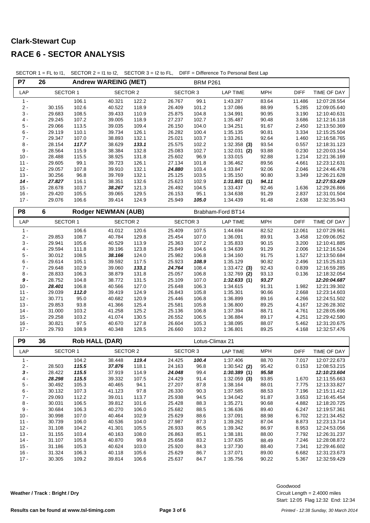| P7               | 26               |                | <b>Andrew WAREING (MET)</b> |                |                  | <b>BRM P261</b> |                               |                |                |                              |
|------------------|------------------|----------------|-----------------------------|----------------|------------------|-----------------|-------------------------------|----------------|----------------|------------------------------|
| LAP              | <b>SECTOR 1</b>  |                | <b>SECTOR 2</b>             |                | <b>SECTOR 3</b>  |                 | <b>LAP TIME</b>               | <b>MPH</b>     | <b>DIFF</b>    | TIME OF DAY                  |
| $1 -$            |                  | 106.1          | 40.321                      | 122.2          | 26.767           | 99.1            | 1:43.287                      | 83.64          | 11.486         | 12:07:28.554                 |
| $2 -$            | 30.155           | 102.6          | 40.522                      | 118.9          | 26.409           | 101.2           | 1:37.086                      | 88.99          | 5.285          | 12:09:05.640                 |
| $3 -$            | 29.683           | 108.5          | 39.433                      | 110.9          | 25.875           | 104.8           | 1:34.991                      | 90.95          | 3.190          | 12:10:40.631                 |
| $4 -$            | 29.245           | 107.2          | 39.005                      | 118.9          | 27.237           | 102.7           | 1:35.487                      | 90.48          | 3.686          | 12:12:16.118                 |
| $5$ -            | 29.066           | 113.5          | 39.035                      | 109.4          | 26.150           | 104.0           | 1:34.251                      | 91.67          | 2.450          | 12:13:50.369                 |
| $6 -$            | 29.119           | 110.1          | 39.734                      | 126.1          | 26.282           | 100.4           | 1:35.135                      | 90.81          | 3.334          | 12:15:25.504                 |
| $7 -$            | 29.347           | 107.0          | 38.893                      | 132.1          | 25.021           | 103.7           | 1:33.261                      | 92.64          | 1.460          | 12:16:58.765                 |
| $8 -$            | 28.154           | 117.7          | 38.629                      | 133.1          | 25.575           | 102.2           | $1:32.358$ (3)                | 93.54          | 0.557          | 12:18:31.123                 |
| $9 -$            | 28.564           | 115.9          | 38.384                      | 132.8          | 25.083           | 102.7           | $1:32.031$ (2)                | 93.88          | 0.230          | 12:20:03.154                 |
| $10 -$           | 28.488           | 115.5          | 38.925                      | 131.8          | 25.602           | 96.9            | 1:33.015                      | 92.88          | 1.214          | 12:21:36.169                 |
| $11 -$           | 29.605           | 99.1           | 39.723                      | 126.1          | 27.134           | 101.8<br>103.4  | 1:36.462                      | 89.56          | 4.661          | 12:23:12.631                 |
| $12 -$<br>$13 -$ | 29.057<br>30.256 | 107.8<br>96.8  | 39.910<br>39.769            | 132.1<br>132.1 | 24.880<br>25.125 | 103.5           | 1:33.847<br>1:35.150          | 92.06<br>90.80 | 2.046<br>3.349 | 12:24:46.478<br>12:26:21.628 |
| $14 -$           | 27.827           | 116.1          | 38.351                      | 132.6          | 25.623           | 102.9           | 1:31.801(1)                   | 94.11          |                | 12:27:53.429                 |
| $15 -$           | 28.678           | 103.7          | 38.267                      | 121.3          | 26.492           | 104.5           | 1:33.437                      | 92.46          | 1.636          | 12:29:26.866                 |
| $16 -$           | 29.420           | 105.5          | 39.065                      | 129.5          | 26.153           | 95.1            | 1:34.638                      | 91.29          | 2.837          | 12:31:01.504                 |
| $17 -$           | 29.076           | 106.6          | 39.414                      | 124.9          | 25.949           | 105.0           | 1:34.439                      | 91.48          | 2.638          | 12:32:35.943                 |
|                  |                  |                |                             |                |                  |                 |                               |                |                |                              |
| P8               | 6                |                | <b>Rodger NEWMAN (AUB)</b>  |                |                  |                 | Brabham-Ford BT14             |                |                |                              |
| LAP              | <b>SECTOR 1</b>  |                | <b>SECTOR 2</b>             |                | <b>SECTOR 3</b>  |                 | <b>LAP TIME</b>               | <b>MPH</b>     | <b>DIFF</b>    | TIME OF DAY                  |
| $1 -$            |                  | 106.6          | 41.012                      | 120.6          | 25.409           | 107.5           | 1:44.694                      | 82.52          | 12.061         | 12:07:29.961                 |
| $2 -$            | 29.853           | 108.7          | 40.784                      | 129.8          | 25.454           | 107.0           | 1:36.091                      | 89.91          | 3.458          | 12:09:06.052                 |
| $3 -$            | 29.941           | 105.6          | 40.529                      | 113.9          | 25.363           | 107.2           | 1:35.833                      | 90.15          | 3.200          | 12:10:41.885                 |
| $4 -$            | 29.594           | 111.8          | 39.196                      | 123.8          | 25.849           | 104.6           | 1:34.639                      | 91.29          | 2.006          | 12:12:16.524                 |
| $5$ -            | 30.012           | 108.5          | 38.166                      | 124.0          | 25.982           | 106.8           | 1:34.160                      | 91.75          | 1.527          | 12:13:50.684                 |
| $6 -$            | 29.614           | 105.1          | 39.592                      | 117.5          | 25.923           | 108.9           | 1:35.129                      | 90.82          | 2.496          | 12:15:25.813                 |
| $7 -$            | 29.648           | 102.9          | 39.060                      | 133.1          | 24.764           | 108.4           | $1:33.472$ (3)                | 92.43          | 0.839          | 12:16:59.285                 |
| $8 -$            | 28.833           | 106.3          | 38.879                      | 131.8          | 25.057           | 106.8           | $1:32.769$ (2)                | 93.13          | 0.136          | 12:18:32.054                 |
| $9 -$            | 28.752           | 104.8          | 38.772                      | 131.5          | 25.109           | 107.0           | 1:32.633(1)                   | 93.27          |                | 12:20:04.687                 |
| $10 -$<br>$11 -$ | 28.401<br>29.039 | 106.8<br>112.0 | 40.566<br>39.419            | 127.0<br>124.9 | 25.648<br>26.843 | 106.3<br>105.8  | 1:34.615<br>1:35.301          | 91.31<br>90.66 | 1.982<br>2.668 | 12:21:39.302<br>12:23:14.603 |
| $12 -$           | 30.771           | 95.0           | 40.682                      | 120.9          | 25.446           | 106.8           | 1:36.899                      | 89.16          | 4.266          | 12:24:51.502                 |
| $13 -$           | 29.853           | 93.8           | 41.366                      | 125.4          | 25.581           | 105.8           | 1:36.800                      | 89.25          | 4.167          | 12:26:28.302                 |
| $14 -$           | 31.000           | 103.2          | 41.258                      | 125.2          | 25.136           | 106.8           | 1:37.394                      | 88.71          | 4.761          | 12:28:05.696                 |
| $15 -$           | 29.258           | 103.2          | 41.074                      | 130.5          | 26.552           | 106.5           | 1:36.884                      | 89.17          | 4.251          | 12:29:42.580                 |
| $16 -$           | 30.821           | 97.5           | 40.670                      | 127.8          | 26.604           | 105.3           | 1:38.095                      | 88.07          | 5.462          | 12:31:20.675                 |
| $17 -$           | 29.793           | 108.9          | 40.348                      | 128.5          | 26.660           | 103.2           | 1:36.801                      | 89.25          | 4.168          | 12:32:57.476                 |
|                  |                  |                |                             |                |                  |                 |                               |                |                |                              |
| P <sub>9</sub>   | 36               |                | <b>Rob HALL (DAR)</b>       |                |                  |                 | Lotus-Climax 21               |                |                |                              |
| LAP              | SECTOR 1         |                | <b>SECTOR 2</b>             |                | <b>SECTOR 3</b>  |                 | <b>LAP TIME</b>               | <b>MPH</b>     | <b>DIFF</b>    | TIME OF DAY                  |
| $1 -$            |                  | 104.2          | 38.448                      | 119.4          | 24.425<br>24.163 | 100.4           | 1:37.406                      | 88.70          | 7.017          | 12:07:22.673<br>12:08:53.215 |
| $2 -$<br>$3 -$   | 28.503           | 115.5<br>115.5 | 37.876                      | 118.1          | 24.048           | 96.8            | $1:30.542$ (2)                | 95.42          | 0.153          |                              |
| $4 -$            | 28.422<br>28.298 | 115.5          | 37.919<br>39.332            | 114.9<br>107.5 | 24.429           | 99.4<br>91.4    | 1:30.389(1)<br>$1:32.059$ (3) | 95.58<br>93.85 | 1.670          | 12:10:23.604<br>12:11:55.663 |
| $5$ -            | 30.492           | 105.3          | 40.465                      | 94.1           | 27.207           | 87.8            | 1:38.164                      | 88.01          | 7.775          | 12:13:33.827                 |
| $6 -$            | 30.132           | 107.3          | 41.123                      | 97.8           | 26.330           | 90.3            | 1:37.585                      | 88.53          | 7.196          | 12:15:11.412                 |
| $7 -$            | 29.093           | 112.2          | 39.011                      | 113.7          | 25.938           | 94.5            | 1:34.042                      | 91.87          | 3.653          | 12:16:45.454                 |
| $8 -$            | 30.031           | 106.5          | 39.812                      | 101.6          | 25.428           | 88.3            | 1:35.271                      | 90.68          | 4.882          | 12:18:20.725                 |
| $9 -$            | 30.684           | 106.3          | 40.270                      | 106.0          | 25.682           | 88.5            | 1:36.636                      | 89.40          | 6.247          | 12:19:57.361                 |
| $10 -$           | 30.998           | 107.0          | 40.464                      | 102.9          | 25.629           | 88.6            | 1:37.091                      | 88.98          | 6.702          | 12:21:34.452                 |
| $11 -$           | 30.739           | 106.0          | 40.536                      | 104.0          | 27.987           | 87.3            | 1:39.262                      | 87.04          | 8.873          | 12:23:13.714                 |
| $12 -$           | 31.108           | 104.2          | 41.301                      | 105.5          | 26.933           | 86.5            | 1:39.342                      | 86.97          | 8.953          | 12:24:53.056                 |
| $13 -$           | 31.155           | 103.4          | 40.163                      | 108.0          | 26.863           | 85.1            | 1:38.181                      | 88.00          | 7.792          | 12:26:31.237                 |
| $14 -$           | 31.107           | 105.8          | 40.870                      | 99.8           | 25.658           | 83.2            | 1:37.635                      | 88.49          | 7.246          | 12:28:08.872                 |
| $15 -$           | 31.186           | 105.3          | 40.624                      | 103.0          | 25.920           | 84.3            | 1:37.730                      | 88.40          | 7.341          | 12:29:46.602                 |
| $16 -$           | 31.324           | 106.3          | 40.118                      | 105.6          | 25.629           | 86.7            | 1:37.071                      | 89.00          | 6.682          | 12:31:23.673                 |
| $17 -$           | 30.305           | 109.2          | 39.814                      | 106.6          | 25.637           | 84.7            | 1:35.756                      | 90.22          | 5.367          | 12:32:59.429                 |

SECTOR 1 = FL to I1, SECTOR 2 = I1 to I2, SECTOR 3 = I2 to FL, DIFF = Difference To Personal Best Lap

**Weather / Track : Bright / Dry**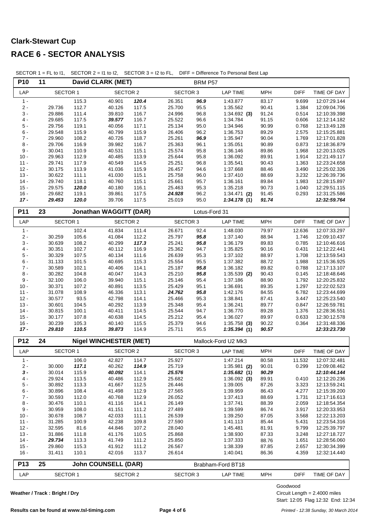| P10             | 11               |                | <b>David CLARK (MET)</b>      |                |                  | BRM P57      |                      |                |                |                              |
|-----------------|------------------|----------------|-------------------------------|----------------|------------------|--------------|----------------------|----------------|----------------|------------------------------|
| LAP             | <b>SECTOR 1</b>  |                | <b>SECTOR 2</b>               |                | <b>SECTOR 3</b>  |              | <b>LAP TIME</b>      | <b>MPH</b>     | <b>DIFF</b>    | TIME OF DAY                  |
| $1 -$           |                  | 115.3          | 40.901                        | 120.4          | 26.351           | 96.9         | 1:43.877             | 83.17          | 9.699          | 12:07:29.144                 |
| $2 -$           | 29.736           | 112.7          | 40.126                        | 117.5          | 25.700           | 95.5         | 1:35.562             | 90.41          | 1.384          | 12:09:04.706                 |
| $3 -$           | 29.886           | 111.4          | 39.810                        | 116.7          | 24.996           | 96.8         | $1:34.692$ (3)       | 91.24          | 0.514          | 12:10:39.398                 |
| $4 -$           | 29.685           | 117.5          | 39.577                        | 116.7          | 25.522           | 96.6         | 1:34.784             | 91.15          | 0.606          | 12:12:14.182                 |
| $5$ -           | 29.756           | 119.1          | 40.056                        | 117.1          | 25.134           | 95.0         | 1:34.946             | 90.99          | 0.768          | 12:13:49.128                 |
| $6 -$           | 29.548           | 115.9          | 40.799                        | 115.9          | 26.406           | 96.2         | 1:36.753             | 89.29          | 2.575          | 12:15:25.881                 |
| $7 -$           | 29.960           | 108.2          | 40.726                        | 118.7          | 25.261           | 96.9         | 1:35.947             | 90.04          | 1.769          | 12:17:01.828                 |
| $8 -$<br>$9 -$  | 29.706<br>30.041 | 116.9          | 39.982                        | 116.7          | 25.363<br>25.574 | 96.1         | 1:35.051<br>1:36.146 | 90.89          | 0.873<br>1.968 | 12:18:36.879                 |
| $10 -$          | 29.963           | 110.9<br>112.9 | 40.531<br>40.485              | 115.1<br>113.9 | 25.644           | 95.8<br>95.8 | 1:36.092             | 89.86<br>89.91 | 1.914          | 12:20:13.025<br>12:21:49.117 |
| $11 -$          | 29.741           | 117.9          | 40.549                        | 114.5          | 25.251           | 96.8         | 1:35.541             | 90.43          | 1.363          | 12:23:24.658                 |
| $12 -$          | 30.175           | 113.9          | 41.036                        | 115.9          | 26.457           | 94.6         | 1:37.668             | 88.46          | 3.490          | 12:25:02.326                 |
| $13 -$          | 30.622           | 111.1          | 41.030                        | 115.1          | 25.758           | 96.0         | 1:37.410             | 88.69          | 3.232          | 12:26:39.736                 |
| $14 -$          | 29.740           | 118.1          | 40.760                        | 115.1          | 25.661           | 95.7         | 1:36.161             | 89.84          | 1.983          | 12:28:15.897                 |
| $15 -$          | 29.575           | 120.0          | 40.180                        | 116.1          | 25.463           | 95.3         | 1:35.218             | 90.73          | 1.040          | 12:29:51.115                 |
| $16 -$          | 29.682           | 119.1          | 39.861                        | 117.5          | 24.928           | 96.2         | $1:34.471$ (2)       | 91.45          | 0.293          | 12:31:25.586                 |
| $17 -$          | 29.453           | 120.0          | 39.706                        | 117.5          | 25.019           | 95.0         | 1:34.178(1)          | 91.74          |                | 12:32:59.764                 |
| P11             | 23               |                | <b>Jonathan WAGGITT (DAR)</b> |                |                  |              | Lotus-Ford 31        |                |                |                              |
| LAP             | <b>SECTOR 1</b>  |                | <b>SECTOR 2</b>               |                | <b>SECTOR 3</b>  |              | <b>LAP TIME</b>      | <b>MPH</b>     | <b>DIFF</b>    | TIME OF DAY                  |
| $1 -$           |                  | 102.4          | 41.834                        | 111.4          | 26.671           | 92.4         | 1:48.030             | 79.97          | 12.636         | 12:07:33.297                 |
| $2 -$           | 30.259           | 105.6          | 41.084                        | 112.2          | 25.797           | 95.8         | 1:37.140             | 88.94          | 1.746          | 12:09:10.437                 |
| $3 -$           | 30.639           | 108.2          | 40.299                        | 117.3          | 25.241           | 95.8         | 1:36.179             | 89.83          | 0.785          | 12:10:46.616                 |
| $4 -$           | 30.351           | 102.7          | 40.112                        | 116.9          | 25.362           | 94.7         | 1:35.825             | 90.16          | 0.431          | 12:12:22.441                 |
| $5$ -           | 30.329           | 107.5          | 40.134                        | 111.6          | 26.639           | 95.3         | 1:37.102             | 88.97          | 1.708          | 12:13:59.543                 |
| $6 -$           | 31.133           | 101.5          | 40.695                        | 115.3          | 25.554           | 95.5         | 1:37.382             | 88.72          | 1.988          | 12:15:36.925                 |
| $7 -$           | 30.589           | 102.1          | 40.406                        | 114.1          | 25.187           | 95.8         | 1:36.182             | 89.82          | 0.788          | 12:17:13.107                 |
| $8 -$<br>$9$ -  | 30.282<br>32.100 | 104.8<br>106.0 | 40.047<br>39.940              | 114.3<br>115.1 | 25.210<br>25.146 | 95.8<br>95.4 | $1:35.539$ (2)       | 90.43<br>88.90 | 0.145<br>1.792 | 12:18:48.646                 |
| $10 -$          | 30.371           | 107.2          | 40.891                        | 113.5          | 25.429           | 95.1         | 1:37.186<br>1:36.691 | 89.35          | 1.297          | 12:20:25.832<br>12:22:02.523 |
| $11 -$          | 31.078           | 108.9          | 46.336                        | 113.1          | 24.762           | 95.8         | 1:42.176             | 84.55          | 6.782          | 12:23:44.699                 |
| $12 -$          | 30.577           | 93.5           | 42.798                        | 114.1          | 25.466           | 95.3         | 1:38.841             | 87.41          | 3.447          | 12:25:23.540                 |
| $13 -$          | 30.601           | 104.5          | 40.292                        | 113.9          | 25.348           | 95.4         | 1:36.241             | 89.77          | 0.847          | 12:26:59.781                 |
| $14 -$          | 30.815           | 100.1          | 40.411                        | 114.5          | 25.544           | 94.7         | 1:36.770             | 89.28          | 1.376          | 12:28:36.551                 |
| $15 -$          | 30.177           | 107.8          | 40.638                        | 114.5          | 25.212           | 95.4         | 1:36.027             | 89.97          | 0.633          | 12:30:12.578                 |
| $16 -$          | 30.239           | 105.3          | 40.140                        | 115.5          | 25.379           | 94.6         | $1:35.758$ (3)       | 90.22          | 0.364          | 12:31:48.336                 |
| $17 -$          | 29.810           | 110.5          | 39.873                        | 114.9          | 25.711           | 95.5         | 1:35.394(1)          | 90.57          |                | 12:33:23.730                 |
| P12             | 24               |                | <b>Nigel WINCHESTER (MET)</b> |                |                  |              | Mallock-Ford U2 Mk3  |                |                |                              |
| LAP             | SECTOR 1         |                | <b>SECTOR 2</b>               |                | <b>SECTOR 3</b>  |              | <b>LAP TIME</b>      | <b>MPH</b>     | <b>DIFF</b>    | TIME OF DAY                  |
| 1 -             |                  | 106.0          | 42.827                        | 114.7          | 25.927           |              | 1:47.214             | 80.58          | 11.532         | 12:07:32.481                 |
| $2 -$           | 30.000           | 117.1          | 40.262                        | 114.9          | 25.719           |              | $1:35.981$ (2)       | 90.01          | 0.299          | 12:09:08.462                 |
| $3 -$           | 30.014           | 115.9          | 40.092                        | 114.1          | 25.576           |              | 1:35.682(1)          | 90.29          |                | 12:10:44.144                 |
| 4 -             | 29.924           | 113.5          | 40.486                        | 112.9          | 25.682           |              | $1:36.092$ (3)       | 89.91          | 0.410          | 12:12:20.236                 |
| $5 -$           | 30.892           | 113.3          | 41.667                        | 112.5          | 26.446           |              | 1:39.005             | 87.26          | 3.323          | 12:13:59.241                 |
| $6 -$           | 30.896           | 108.4          | 41.498                        | 112.9          | 27.565           |              | 1:39.959             | 86.43          | 4.277          | 12:15:39.200                 |
| $7 -$           | 30.593           | 112.0          | 40.768                        | 112.9          | 26.052           |              | 1:37.413             | 88.69          | 1.731          | 12:17:16.613                 |
| $8 -$           | 30.476           | 110.1          | 41.116                        | 114.1          | 26.149           |              | 1:37.741             | 88.39          | 2.059          | 12:18:54.354                 |
| $9 -$<br>$10 -$ | 30.959<br>30.678 | 108.0          | 41.151<br>42.033              | 111.2<br>111.1 | 27.489           |              | 1:39.599             | 86.74          | 3.917          | 12:20:33.953<br>12:22:13.203 |
| $11 -$          | 31.285           | 108.7<br>100.9 | 42.238                        | 109.8          | 26.539<br>27.590 |              | 1:39.250<br>1:41.113 | 87.05<br>85.44 | 3.568<br>5.431 | 12:23:54.316                 |
| $12 -$          | 32.595           | 81.6           | 44.846                        | 107.2          | 28.040           |              | 1:45.481             | 81.91          | 9.799          | 12:25:39.797                 |
| $13 -$          | 31.886           | 111.8          | 41.176                        | 110.5          | 25.868           |              | 1:38.930             | 87.33          | 3.248          | 12:27:18.727                 |
| $14 -$          | 29.734           | 113.3          | 41.749                        | 111.2          | 25.850           |              | 1:37.333             | 88.76          | 1.651          | 12:28:56.060                 |
| $15 -$          | 29.860           | 115.3          | 41.912                        | 111.2          | 26.567           |              | 1:38.339             | 87.85          | 2.657          | 12:30:34.399                 |
| $16 -$          | 31.411           | 110.1          | 42.016                        | 113.7          | 26.614           |              | 1:40.041             | 86.36          | 4.359          | 12:32:14.440                 |
| <b>P13</b>      | 25               |                | <b>John COUNSELL (DAR)</b>    |                |                  |              | Brabham-Ford BT18    |                |                |                              |
| LAP             | SECTOR 1         |                | <b>SECTOR 2</b>               |                | <b>SECTOR 3</b>  |              | <b>LAP TIME</b>      | <b>MPH</b>     | <b>DIFF</b>    | TIME OF DAY                  |
|                 |                  |                |                               |                |                  |              |                      |                |                |                              |

SECTOR 1 = FL to I1, SECTOR 2 = I1 to I2, SECTOR 3 = I2 to FL, DIFF = Difference To Personal Best Lap

**Weather / Track : Bright / Dry**

Goodwood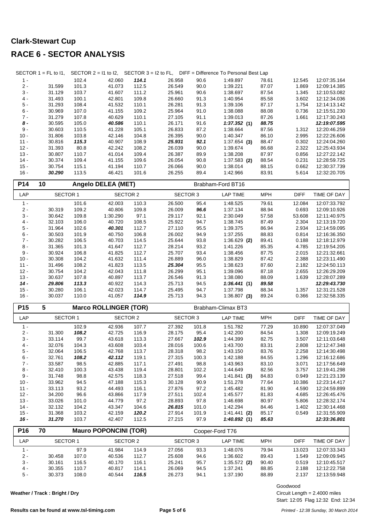|        | SECTOR $1 = FL$ to $11$ , |       |        |       |        |      | SECTOR $2 = 11$ to 12, SECTOR $3 = 12$ to FL, DIFF = Difference To Personal Best Lap |       |        |              |
|--------|---------------------------|-------|--------|-------|--------|------|--------------------------------------------------------------------------------------|-------|--------|--------------|
| $1 -$  |                           | 102.4 | 42.060 | 114.1 | 26.958 | 90.6 | 1:49.897                                                                             | 78.61 | 12.545 | 12:07:35.164 |
| $2 -$  | 31.599                    | 101.3 | 41.073 | 112.5 | 26.549 | 90.0 | 1:39.221                                                                             | 87.07 | 1.869  | 12:09:14.385 |
| $3 -$  | 31.129                    | 103.7 | 41.607 | 111.2 | 25.961 | 90.6 | 1:38.697                                                                             | 87.54 | 1.345  | 12:10:53.082 |
| $4 -$  | 31.493                    | 100.1 | 42.801 | 109.8 | 26.660 | 91.3 | 1:40.954                                                                             | 85.58 | 3.602  | 12:12:34.036 |
| $5 -$  | 31.293                    | 108.4 | 41.532 | 110.1 | 26.281 | 91.3 | 1:39.106                                                                             | 87.17 | 1.754  | 12:14:13.142 |
| $6 -$  | 30.969                    | 107.0 | 41.155 | 109.2 | 25.964 | 91.0 | 1:38.088                                                                             | 88.08 | 0.736  | 12:15:51.230 |
| $7 -$  | 31.279                    | 107.8 | 40.629 | 110.1 | 27.105 | 91.1 | 1:39.013                                                                             | 87.26 | 1.661  | 12:17:30.243 |
| 8 -    | 30.595                    | 105.0 | 40.586 | 110.1 | 26.171 | 91.6 | 1:37.352(1)                                                                          | 88.75 |        | 12:19:07.595 |
| $9 -$  | 30.603                    | 110.5 | 41.228 | 105.1 | 26.833 | 87.2 | 1:38.664                                                                             | 87.56 | 1.312  | 12:20:46.259 |
| $10 -$ | 31.806                    | 103.8 | 42.146 | 104.8 | 26.395 | 90.0 | 1:40.347                                                                             | 86.10 | 2.995  | 12:22:26.606 |
| $11 -$ | 30.816                    | 115.3 | 40.907 | 108.9 | 25.931 | 92.1 | $1:37.654$ (3)                                                                       | 88.47 | 0.302  | 12:24:04.260 |
| $12 -$ | 31.393                    | 80.8  | 42.242 | 108.2 | 26.039 | 90.0 | 1:39.674                                                                             | 86.68 | 2.322  | 12:25:43.934 |
| $13 -$ | 30.807                    | 110.7 | 41.014 | 109.4 | 26.387 | 89.9 | 1:38.208                                                                             | 87.97 | 0.856  | 12:27:22.142 |
| $14 -$ | 30.374                    | 109.4 | 41.155 | 109.6 | 26.054 | 90.8 | $1:37.583$ (2)                                                                       | 88.54 | 0.231  | 12:28:59.725 |
| $15 -$ | 30.754                    | 115.1 | 41.194 | 110.7 | 26.066 | 90.0 | 1:38.014                                                                             | 88.15 | 0.662  | 12:30:37.739 |
| $16 -$ | 30.290                    | 113.5 | 46.421 | 101.6 | 26.255 | 89.4 | 1:42.966                                                                             | 83.91 | 5.614  | 12:32:20.705 |

| P14             | 10<br><b>Angelo DELEA (MET)</b> |       |                              |       | Brabham-Ford BT16 |       |                    |            |             |              |
|-----------------|---------------------------------|-------|------------------------------|-------|-------------------|-------|--------------------|------------|-------------|--------------|
| LAP             | <b>SECTOR 1</b>                 |       | <b>SECTOR 2</b>              |       | <b>SECTOR 3</b>   |       | <b>LAP TIME</b>    | <b>MPH</b> | <b>DIFF</b> | TIME OF DAY  |
| $1 -$           |                                 | 101.6 | 42.003                       | 110.3 | 26.500            | 95.4  | 1:48.525           | 79.61      | 12.084      | 12:07:33.792 |
| $2 -$           | 30.319                          | 109.2 | 40.806                       | 109.8 | 26.009            | 96.6  | 1:37.134           | 88.94      | 0.693       | 12:09:10.926 |
| $3 -$           | 30.642                          | 109.8 | 1:30.290                     | 97.1  | 29.117            | 92.1  | 2:30.049           | 57.58      | 53.608      | 12:11:40.975 |
| $4 -$           | 32.103                          | 106.0 | 40.720                       | 108.5 | 25.922            | 94.7  | 1:38.745           | 87.49      | 2.304       | 12:13:19.720 |
| $5 -$           | 31.964                          | 102.6 | 40.301                       | 112.7 | 27.110            | 95.5  | 1:39.375           | 86.94      | 2.934       | 12:14:59.095 |
| $6 -$           | 30.503                          | 101.9 | 40.750                       | 106.8 | 26.002            | 94.9  | 1:37.255           | 88.83      | 0.814       | 12:16:36.350 |
| $7 -$           | 30.282                          | 106.5 | 40.703                       | 114.5 | 25.644            | 93.8  | $1:36.629$ (2)     | 89.41      | 0.188       | 12:18:12.979 |
| $8 -$           | 31.365                          | 101.3 | 41.647                       | 112.7 | 28.214            | 93.2  | 1:41.226           | 85.35      | 4.785       | 12:19:54.205 |
| $9 -$           | 30.924                          | 106.8 | 41.825                       | 112.7 | 25.707            | 93.4  | 1:38.456           | 87.75      | 2.015       | 12:21:32.661 |
| $10 -$          | 30.308                          | 104.2 | 41.632                       | 111.4 | 26.889            | 96.0  | 1:38.829           | 87.42      | 2.388       | 12:23:11.490 |
| $11 -$          | 31.496                          | 108.2 | 41.823                       | 113.5 | 25.304            | 95.5  | 1:38.623           | 87.60      | 2.182       | 12:24:50.113 |
| $12 -$          | 30.754                          | 104.2 | 42.043                       | 111.8 | 26.299            | 95.1  | 1:39.096           | 87.18      | 2.655       | 12:26:29.209 |
| $13 -$          | 30.637                          | 107.8 | 40.897                       | 113.7 | 26.546            | 91.3  | 1:38.080           | 88.09      | 1.639       | 12:28:07.289 |
| $14 -$          | 29.806                          | 113.3 | 40.922                       | 114.3 | 25.713            | 94.5  | 1:36.441(1)        | 89.58      |             | 12:29:43.730 |
| $15 -$          | 30.280                          | 106.1 | 42.023                       | 114.7 | 25.495            | 94.7  | 1:37.798           | 88.34      | 1.357       | 12:31:21.528 |
| $16 -$          | 30.037                          | 110.0 | 41.057                       | 114.9 | 25.713            | 94.3  | $1:36.807$ (3)     | 89.24      | 0.366       | 12:32:58.335 |
| P <sub>15</sub> | 5                               |       | <b>Marco ROLLINGER (TOR)</b> |       |                   |       | Brabham-Climax BT3 |            |             |              |
| LAP             | <b>SECTOR 1</b>                 |       | <b>SECTOR 2</b>              |       | <b>SECTOR 3</b>   |       | <b>LAP TIME</b>    | <b>MPH</b> | <b>DIFF</b> | TIME OF DAY  |
| $1 -$           |                                 | 102.9 | 42.936                       | 107.7 | 27.392            | 101.8 | 1:51.782           | 77.29      | 10.890      | 12:07:37.049 |
| $2 -$           | 31.300                          | 108.2 | 42.725                       | 116.9 | 28.175            | 95.4  | 1:42.200           | 84.54      | 1.308       | 12:09:19.249 |
| $3 -$           | 33.114                          | 99.7  | 43.618                       | 113.3 | 27.667            | 102.9 | 1:44.399           | 82.75      | 3.507       | 12:11:03.648 |
| $4 -$           | 32.076                          | 104.3 | 43.608                       | 103.4 | 28.016            | 100.6 | 1:43.700           | 83.31      | 2.808       | 12:12:47.348 |
| $5 -$           | 32.064                          | 106.5 | 42.768                       | 113.7 | 28.318            | 98.2  | 1:43.150           | 83.76      | 2.258       | 12:14:30.498 |
| $6 -$           | 32.761                          | 108.2 | 42.112                       | 119.1 | 27.315            | 100.3 | 1:42.188           | 84.55      | 1.296       | 12:16:12.686 |
| $7 -$           | 33.587                          | 98.5  | 42.885                       | 117.1 | 27.491            | 98.8  | 1:43.963           | 83.10      | 3.071       | 12:17:56.649 |
| $8 -$           | 32.410                          | 100.3 | 43.438                       | 119.4 | 28.801            | 102.2 | 1:44.649           | 82.56      | 3.757       | 12:19:41.298 |
| $9 -$           | 31.748                          | 98.8  | 42.575                       | 118.3 | 27.518            | 99.4  | 1:41.841(3)        | 84.83      | 0.949       | 12:21:23.139 |
| $10 -$          | 33.962                          | 94.5  | 47.188                       | 115.3 | 30.128            | 90.9  | 1:51.278           | 77.64      | 10.386      | 12:23:14.417 |
| $11 -$          | 33.113                          | 93.2  | 44.493                       | 116.1 | 27.876            | 97.2  | 1:45.482           | 81.90      | 4.590       | 12:24:59.899 |
| $12 -$          | 34.200                          | 96.6  | 43.866                       | 117.9 | 27.511            | 102.4 | 1:45.577           | 81.83      | 4.685       | 12:26:45.476 |
| $13 -$          | 33.026                          | 101.0 | 44.779                       | 97.2  | 28.893            | 97.8  | 1:46.698           | 80.97      | 5.806       | 12:28:32.174 |
| $14 -$          | 32.132                          | 104.2 | 43.347                       | 104.6 | 26.815            | 101.0 | 1:42.294           | 84.46      | 1.402       | 12:30:14.468 |
| $15 -$          | 31.368                          | 103.2 | 42.159                       | 120.2 | 27.914            | 101.9 | $1:41.441$ (2)     | 85.17      | 0.549       | 12:31:55.909 |
| $16 -$          | 31.270                          | 103.7 | 42.407                       | 112.5 | 27.215            | 97.9  | 1:40.892(1)        | 85.63      |             | 12:33:36.801 |
|                 |                                 |       |                              |       |                   |       |                    |            |             |              |

| P <sub>16</sub> | 70       |       | <b>Mauro POPONCINI (TOR)</b> |       |          |      | Cooper-Ford T76 |            |             |              |
|-----------------|----------|-------|------------------------------|-------|----------|------|-----------------|------------|-------------|--------------|
| LAP             | SECTOR 1 |       | SECTOR 2                     |       | SECTOR 3 |      | LAP TIME        | <b>MPH</b> | <b>DIFF</b> | TIME OF DAY  |
| $1 -$           |          | 97.9  | 41.984                       | 114.9 | 27.056   | 93.3 | 1:48.076        | 79.94      | 13.023      | 12:07:33.343 |
| $2 -$           | 30.458   | 107.0 | 40.536                       | 112.7 | 25.608   | 94.6 | 1:36.602        | 89.43      | 1.549       | 12:09:09.945 |
| $3 -$           | 30.161   | 116.5 | 40.170                       | 116.1 | 25.241   | 95.7 | $1:35.572$ (2)  | 90.40      | 0.519       | 12:10:45.517 |
| $4 -$           | 30.355   | 110.7 | 40.817                       | 114.1 | 26.069   | 94.5 | 1:37.241        | 88.85      | 2.188       | 12:12:22.758 |
| $5 -$           | 30.373   | 108.0 | 40.544                       | 116.5 | 26.273   | 94.1 | 1:37.190        | 88.89      | 2.137       | 12:13:59.948 |

**Weather / Track : Bright / Dry**

Goodwood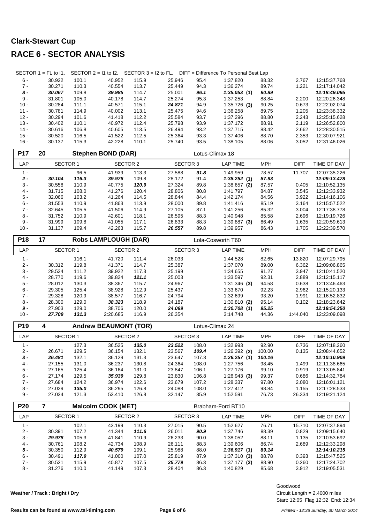|                  | SECTOR $1 = FL$ to $11$ , |                |                              |                |                  |              | SECTOR $2 = 11$ to 12, SECTOR $3 = 12$ to FL, DIFF = Difference To Personal Best Lap |                |                 |                              |
|------------------|---------------------------|----------------|------------------------------|----------------|------------------|--------------|--------------------------------------------------------------------------------------|----------------|-----------------|------------------------------|
| $6 -$            | 30.922                    | 100.1          | 40.952                       | 115.9          | 25.946           | 95.4         | 1:37.820                                                                             | 88.32          | 2.767           | 12:15:37.768                 |
| $7 -$            | 30.271                    | 110.3          | 40.554                       | 113.7          | 25.449           | 94.3         | 1:36.274                                                                             | 89.74          | 1.221           | 12:17:14.042                 |
| $8-$             | 30.067                    | 109.8          | 39.985                       | 114.7          | 25.001           | 96.1         | 1:35.053(1)                                                                          | 90.89          |                 | 12:18:49.095                 |
| $9 -$            | 31.801                    | 105.0          | 40.178                       | 114.7          | 25.274           | 95.3         | 1:37.253                                                                             | 88.84          | 2.200           | 12:20:26.348                 |
| $10 -$           | 30.284                    | 111.1          | 40.571                       | 115.1          | 24.871           | 94.9         | $1:35.726$ (3)                                                                       | 90.25          | 0.673           | 12:22:02.074                 |
| $11 -$<br>$12 -$ | 30.781<br>30.294          | 114.9          | 40.002<br>41.418             | 113.1<br>112.2 | 25.475<br>25.584 | 94.6<br>93.7 | 1:36.258                                                                             | 89.75          | 1.205<br>2.243  | 12:23:38.332<br>12:25:15.628 |
| $13 -$           | 30.402                    | 101.6<br>110.1 | 40.972                       | 112.4          | 25.798           | 93.9         | 1:37.296<br>1:37.172                                                                 | 88.80<br>88.91 | 2.119           | 12:26:52.800                 |
| $14 -$           | 30.616                    | 106.8          | 40.605                       | 113.5          | 26.494           | 93.2         | 1:37.715                                                                             | 88.42          | 2.662           | 12:28:30.515                 |
| $15 -$           | 30.520                    | 116.5          | 41.522                       | 112.5          | 25.364           | 93.3         | 1:37.406                                                                             | 88.70          | 2.353           | 12:30:07.921                 |
| $16 -$           | 30.137                    | 115.3          | 42.228                       | 110.1          | 25.740           | 93.5         | 1:38.105                                                                             | 88.06          | 3.052           | 12:31:46.026                 |
| P17              | 20                        |                | <b>Stephen BOND (DAR)</b>    |                |                  |              | Lotus-Climax 18                                                                      |                |                 |                              |
| LAP              | <b>SECTOR 1</b>           |                | <b>SECTOR 2</b>              |                | <b>SECTOR 3</b>  |              | <b>LAP TIME</b>                                                                      | <b>MPH</b>     | <b>DIFF</b>     | TIME OF DAY                  |
|                  |                           |                |                              |                |                  |              |                                                                                      |                |                 |                              |
| $1 -$<br>$2 -$   | 30.104                    | 96.5<br>116.3  | 41.939<br>39.976             | 113.3<br>109.8 | 27.588<br>28.172 | 91.8<br>91.4 | 1:49.959                                                                             | 78.57<br>87.93 | 11.707          | 12:07:35.226<br>12:09:13.478 |
| 3 -              | 30.558                    | 110.9          | 40.775                       | 120.9          | 27.324           | 89.8         | 1:38.252(1)<br>$1:38.657$ (2)                                                        | 87.57          | 0.405           | 12:10:52.135                 |
| $4 -$            | 31.715                    | 108.0          | 41.276                       | 120.4          | 28.806           | 80.8         | 1:41.797                                                                             | 84.87          | 3.545           | 12:12:33.932                 |
| $5 -$            | 32.066                    | 103.2          | 41.264                       | 114.5          | 28.844           | 84.4         | 1:42.174                                                                             | 84.56          | 3.922           | 12:14:16.106                 |
| $6 -$            | 31.553                    | 110.9          | 41.863                       | 113.9          | 28.000           | 89.8         | 1:41.416                                                                             | 85.19          | 3.164           | 12:15:57.522                 |
| $7 -$            | 32.645                    | 105.5          | 41.506                       | 114.9          | 27.105           | 87.1         | 1:41.256                                                                             | 85.32          | 3.004           | 12:17:38.778                 |
| $8 -$            | 31.752                    | 110.9          | 42.601                       | 118.1          | 26.595           | 88.3         | 1:40.948                                                                             | 85.58          | 2.696           | 12:19:19.726                 |
| 9 -              | 31.999                    | 109.8          | 41.055                       | 117.1          | 26.833           | 88.3         | $1:39.887$ (3)                                                                       | 86.49          | 1.635           | 12:20:59.613                 |
| $10 -$           | 31.137                    | 109.4          | 42.263                       | 115.7          | 26.557           | 89.8         | 1:39.957                                                                             | 86.43          | 1.705           | 12:22:39.570                 |
| P18              | 17                        |                | <b>Robs LAMPLOUGH (DAR)</b>  |                |                  |              | Lola-Cosworth T60                                                                    |                |                 |                              |
| LAP              | SECTOR 1                  |                | <b>SECTOR 2</b>              |                | <b>SECTOR 3</b>  |              | <b>LAP TIME</b>                                                                      | <b>MPH</b>     | <b>DIFF</b>     | TIME OF DAY                  |
|                  |                           |                |                              |                |                  |              |                                                                                      |                |                 |                              |
| $1 -$<br>$2 -$   | 30.312                    | 116.1<br>119.8 | 41.720<br>41.371             | 111.4<br>114.7 | 26.033<br>25.387 |              | 1:44.528<br>1:37.070                                                                 | 82.65<br>89.00 | 13.820<br>6.362 | 12:07:29.795<br>12:09:06.865 |
| $3 -$            | 29.534                    | 111.2          | 39.922                       | 117.3          | 25.199           |              | 1:34.655                                                                             | 91.27          | 3.947           | 12:10:41.520                 |
| $4 -$            | 28.770                    | 119.6          | 39.824                       | 121.1          | 25.003           |              | 1:33.597                                                                             | 92.31          | 2.889           | 12:12:15.117                 |
| $5 -$            | 28.012                    | 130.3          | 38.367                       | 115.7          | 24.967           |              | $1:31.346$ (3)                                                                       | 94.58          | 0.638           | 12:13:46.463                 |
| $6 -$            | 29.305                    | 125.4          | 38.928                       | 112.9          | 25.437           |              | 1:33.670                                                                             | 92.23          | 2.962           | 12:15:20.133                 |
| 7 -              | 29.328                    | 120.9          | 38.577                       | 116.7          | 24.794           |              | 1:32.699                                                                             | 93.20          | 1.991           | 12:16:52.832                 |
| $8 -$            | 28.300                    | 129.0          | 38.323                       | 118.9          | 24.187           |              | $1:30.810$ (2)                                                                       | 95.14          | 0.102           | 12:18:23.642                 |
| 9 -              | 27.903                    | 129.0          | 38.706                       | 120.0          | 24.099           |              | 1:30.708(1)                                                                          | 95.25          |                 | 12:19:54.350                 |
| $10 -$           | 27.709                    | 131.3          | 2:20.685                     | 116.9          | 26.354           |              | 3:14.748                                                                             | 44.36          | 1:44.040        | 12:23:09.098                 |
| P <sub>19</sub>  | 4                         |                | <b>Andrew BEAUMONT (TOR)</b> |                |                  |              | Lotus-Climax 24                                                                      |                |                 |                              |
| LAP              | SECTOR 1                  |                | <b>SECTOR 2</b>              |                | <b>SECTOR 3</b>  |              | <b>LAP TIME</b>                                                                      | <b>MPH</b>     | DIFF            | TIME OF DAY                  |
| $1 -$            |                           | 127.3          | 36.525                       | 135.0          | 23.522           | 108.0        | 1:32.993                                                                             | 92.90          | 6.736           | 12:07:18.260                 |
| $2 -$            | 26.671                    | 129.5          | 36.154                       | 132.1          | 23.567           | 109.4        | $1:26.392$ (2)                                                                       | 100.00         | 0.135           | 12:08:44.652                 |
| $3 -$            | 26.481                    | 132.1          | 36.129                       | 131.3          | 23.647           | 107.3        | 1:26.257(1)                                                                          | 100.16         |                 | 12:10:10.909                 |
| $4 -$            | 27.155                    | 131.0          | 36.237                       | 130.8          | 24.364           | 108.0        | 1:27.756                                                                             | 98.45          | 1.499           | 12:11:38.665                 |
| $5 -$            | 27.165                    | 125.4          | 36.164                       | 131.0          | 23.847           | 106.1        | 1:27.176                                                                             | 99.10          | 0.919           | 12:13:05.841                 |
| $6 -$            | 27.174                    | 129.5          | 35.939                       | 129.8          | 23.830           | 106.8        | 1:26.943(3)                                                                          | 99.37          | 0.686           | 12:14:32.784                 |
| 7 -              | 27.684                    | 124.2          | 36.974                       | 122.6          | 23.679           | 107.2        | 1:28.337                                                                             | 97.80          | 2.080           | 12:16:01.121                 |
| $8 -$            | 27.029                    | 135.0          | 36.295                       | 126.8          | 24.088           | 108.0        | 1:27.412                                                                             | 98.84          | 1.155           | 12:17:28.533                 |
| 9 -              | 27.034                    | 121.3          | 53.410                       | 126.8          | 32.147           | 35.9         | 1:52.591                                                                             | 76.73          | 26.334          | 12:19:21.124                 |
| P <sub>20</sub>  | $\overline{7}$            |                | <b>Malcolm COOK (MET)</b>    |                |                  |              | Brabham-Ford BT10                                                                    |                |                 |                              |
| LAP              | <b>SECTOR 1</b>           |                | SECTOR 2                     |                | <b>SECTOR 3</b>  |              | <b>LAP TIME</b>                                                                      | <b>MPH</b>     | <b>DIFF</b>     | TIME OF DAY                  |
| $1 -$            |                           | 102.1          | 43.199                       | 110.3          | 27.015           | 90.5         | 1:52.627                                                                             | 76.71          | 15.710          | 12:07:37.894                 |
| $2 -$            | 30.391                    | 107.2          | 41.344                       | 111.6          | 26.011           | 90.9         | 1:37.746                                                                             | 88.39          | 0.829           | 12:09:15.640                 |
| 3 -              | 29.978                    | 105.3          | 41.841                       | 110.9          | 26.233           | 90.0         | 1:38.052                                                                             | 88.11          | 1.135           | 12:10:53.692                 |
| $4 -$            | 30.761                    | 108.2          | 42.734                       | 108.9          | 26.111           | 88.3         | 1:39.606                                                                             | 86.74          | 2.689           | 12:12:33.298                 |
| $5 -$            | 30.350                    | 112.9          | 40.579                       | 109.1          | 25.988           | 88.0         | 1:36.917(1)                                                                          | 89.14          |                 | 12:14:10.215                 |
| 6 -              | 30.491                    | 117.9          | 41.000                       | 107.0          | 25.819           | 87.9         | 1:37.310(3)                                                                          | 88.78          | 0.393           | 12:15:47.525                 |
| $7 -$            | 30.521                    | 115.9          | 40.877                       | 107.5          | 25.779           | 86.3         | $1:37.177$ (2)                                                                       | 88.90          | 0.260           | 12:17:24.702                 |
| 8 -              | 31.276                    | 110.0          | 41.149                       | 107.3          | 28.404           | 86.3         | 1:40.829                                                                             | 85.68          | 3.912           | 12:19:05.531                 |

**Weather / Track : Bright / Dry**

Goodwood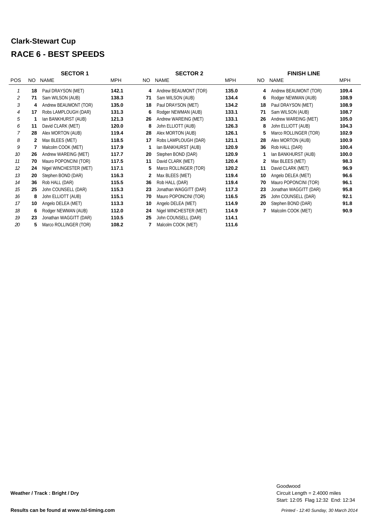### **Clark-Stewart Cup RACE 6 - BEST SPEEDS**

|                | <b>SECTOR 1</b> |                        |            |     | <b>SECTOR 2</b>        | <b>FINISH LINE</b> |     |                        |            |
|----------------|-----------------|------------------------|------------|-----|------------------------|--------------------|-----|------------------------|------------|
| <b>POS</b>     | NO.             | <b>NAME</b>            | <b>MPH</b> | NO. | <b>NAME</b>            | <b>MPH</b>         | NO. | <b>NAME</b>            | <b>MPH</b> |
|                | 18              | Paul DRAYSON (MET)     | 142.1      | 4   | Andrew BEAUMONT (TOR)  | 135.0              | 4   | Andrew BEAUMONT (TOR)  | 109.4      |
| 2              | 71              | Sam WILSON (AUB)       | 138.3      | 71  | Sam WILSON (AUB)       | 134.4              | 6   | Rodger NEWMAN (AUB)    | 108.9      |
| 3              | 4               | Andrew BEAUMONT (TOR)  | 135.0      | 18  | Paul DRAYSON (MET)     | 134.2              | 18  | Paul DRAYSON (MET)     | 108.9      |
| $\overline{4}$ | 17              | Robs LAMPLOUGH (DAR)   | 131.3      | 6   | Rodger NEWMAN (AUB)    | 133.1              | 71  | Sam WILSON (AUB)       | 108.7      |
| 5              |                 | Ian BANKHURST (AUB)    | 121.3      | 26  | Andrew WAREING (MET)   | 133.1              | 26  | Andrew WAREING (MET)   | 105.0      |
| 6              | 11              | David CLARK (MET)      | 120.0      | 8   | John ELLIOTT (AUB)     | 126.3              | 8   | John ELLIOTT (AUB)     | 104.3      |
| 7              | 28              | Alex MORTON (AUB)      | 119.4      | 28  | Alex MORTON (AUB)      | 126.1              | 5   | Marco ROLLINGER (TOR)  | 102.9      |
| 8              | 2               | Max BLEES (MET)        | 118.5      | 17  | Robs LAMPLOUGH (DAR)   | 121.1              | 28  | Alex MORTON (AUB)      | 100.9      |
| 9              |                 | Malcolm COOK (MET)     | 117.9      | -1  | Ian BANKHURST (AUB)    | 120.9              | 36  | Rob HALL (DAR)         | 100.4      |
| 10             | 26              | Andrew WAREING (MET)   | 117.7      | 20  | Stephen BOND (DAR)     | 120.9              | 1   | Ian BANKHURST (AUB)    | 100.0      |
| 11             | 70              | Mauro POPONCINI (TOR)  | 117.5      | 11  | David CLARK (MET)      | 120.4              | 2   | Max BLEES (MET)        | 98.3       |
| 12             | 24              | Nigel WINCHESTER (MET) | 117.1      | 5   | Marco ROLLINGER (TOR)  | 120.2              | 11  | David CLARK (MET)      | 96.9       |
| 13             | 20              | Stephen BOND (DAR)     | 116.3      | 2   | Max BLEES (MET)        | 119.4              | 10  | Angelo DELEA (MET)     | 96.6       |
| 14             | 36              | Rob HALL (DAR)         | 115.5      | 36  | Rob HALL (DAR)         | 119.4              | 70  | Mauro POPONCINI (TOR)  | 96.1       |
| 15             | 25              | John COUNSELL (DAR)    | 115.3      | 23  | Jonathan WAGGITT (DAR) | 117.3              | 23  | Jonathan WAGGITT (DAR) | 95.8       |
| 16             | 8               | John ELLIOTT (AUB)     | 115.1      | 70  | Mauro POPONCINI (TOR)  | 116.5              | 25  | John COUNSELL (DAR)    | 92.1       |
| 17             | 10              | Angelo DELEA (MET)     | 113.3      | 10  | Angelo DELEA (MET)     | 114.9              | 20  | Stephen BOND (DAR)     | 91.8       |
| 18             | 6               | Rodger NEWMAN (AUB)    | 112.0      | 24  | Nigel WINCHESTER (MET) | 114.9              |     | Malcolm COOK (MET)     | 90.9       |
| 19             | 23              | Jonathan WAGGITT (DAR) | 110.5      | 25  | John COUNSELL (DAR)    | 114.1              |     |                        |            |
| 20             | 5               | Marco ROLLINGER (TOR)  | 108.2      |     | Malcolm COOK (MET)     | 111.6              |     |                        |            |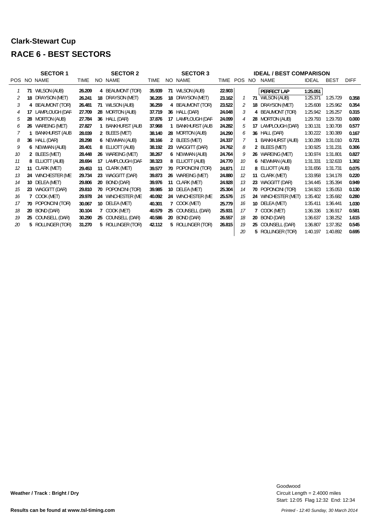#### **Clark-Stewart Cup RACE 6 - BEST SECTORS**

|    |    | <b>SECTOR 1</b>       | <b>SECTOR 2</b><br><b>SECTOR 3</b> |                 |                       |             |     |                       |        | <b>IDEAL / BEST COMPARISON</b> |     |                        |              |             |             |  |  |  |
|----|----|-----------------------|------------------------------------|-----------------|-----------------------|-------------|-----|-----------------------|--------|--------------------------------|-----|------------------------|--------------|-------------|-------------|--|--|--|
|    |    | POS NO NAME           | TIME                               |                 | NO NAME               | <b>TIME</b> | NO. | NAME                  | TIME   | <b>POS</b>                     | NO. | <b>NAME</b>            | <b>IDEAL</b> | <b>BEST</b> | <b>DIFF</b> |  |  |  |
|    |    | 71 WILSON (AUB)       | 26.209                             |                 | 4 BEAUMONT (TOR)      | 35.939      | 71  | WILSON (AUB)          | 22.903 |                                |     | PERFECT LAP            | 1:25.051     |             |             |  |  |  |
| 2  | 18 | DRAYSON (MET)         | 26.241                             | 18              | DRAYSON (MET)         | 36.205      | 18  | DRAYSON (MET)         | 23.162 |                                |     | 71 WILSON (AUB)        | 1:25.371     | 1:25.729    | 0.358       |  |  |  |
| 3  | 4  | <b>BEAUMONT (TOR)</b> | 26.481                             | 71              | WILSON (AUB)          | 36.259      |     | 4 BEAUMONT (TOR)      | 23.522 | 2                              | 18  | DRAYSON (MET)          | 1:25.608     | 1:25.962    | 0.354       |  |  |  |
| 4  | 17 | LAMPLOUGH (DAR        | 27.709                             | 28              | <b>MORTON (AUB)</b>   | 37.719      |     | 36 HALL (DAR)         | 24.048 | 3                              |     | 4 BEAUMONT (TOR)       | 1:25.942     | 1:26.257    | 0.315       |  |  |  |
| 5  | 28 | <b>MORTON (AUB)</b>   | 27.784                             | 36              | HALL (DAR)            | 37.876      | 17  | LAMPLOUGH (DAR        | 24.099 | 4                              | 28  | <b>MORTON (AUB)</b>    | 1:29.793     | 1:29.793    | 0.000       |  |  |  |
| 6  | 26 | WAREING (MET)         | 27.827                             |                 | <b>BANKHURST (AUB</b> | 37.968      |     | <b>BANKHURST (AUB</b> | 24.282 | 5                              | 17  | LAMPLOUGH (DAR)        | 1:30.131     | 1:30.708    | 0.577       |  |  |  |
|    |    | <b>BANKHURST (AUB</b> | 28.039                             |                 | 2 BLEES (MET)         | 38.140      |     | 28 MORTON (AUB)       | 24.290 | 6                              |     | 36 HALL (DAR)          | 1:30.222     | 1:30.389    | 0.167       |  |  |  |
| 8  |    | 36 HALL (DAR)         | 28.298                             |                 | 6 NEWMAN (AUB)        | 38.166      |     | 2 BLEES (MET)         | 24.337 |                                |     | <b>BANKHURST (AUB)</b> | 1:30.289     | 1:31.010    | 0.721       |  |  |  |
| 9  | 6  | NEWMAN (AUB)          | 28.401                             |                 | 8 ELLIOTT (AUB)       | 38.192      |     | 23 WAGGITT (DAR)      | 24.762 | 8                              |     | 2 BLEES (MET)          | 1:30.925     | 1:31.231    | 0.306       |  |  |  |
| 10 |    | 2 BLEES (MET)         | 28.448                             |                 | 26 WAREING (MET)      | 38.267      |     | 6 NEWMAN (AUB)        | 24.764 | 9                              |     | 26 WAREING (MET)       | 1:30.974     | 1:31.801    | 0.827       |  |  |  |
| 11 |    | 8 ELLIOTT (AUB)       | 28.694                             | 17              | LAMPLOUGH (DAR        | 38.323      |     | 8 ELLIOTT (AUB)       | 24.770 | 10                             |     | 6 NEWMAN (AUB)         | 1:31.331     | 1:32.633    | 1.302       |  |  |  |
| 12 | 11 | CLARK (MET)           | 29.453                             | 11              | CLARK (MET)           | 39.577      | 70  | POPONCINI (TOR)       | 24.871 | 11                             | 8   | ELLIOTT (AUB)          | 1:31.656     | 1:31.731    | 0.075       |  |  |  |
| 13 | 24 | WINCHESTER (ME        | 29.734                             | 23              | WAGGITT (DAR)         | 39.873      | 26  | WAREING (MET)         | 24.880 | 12                             |     | 11 CLARK (MET)         | 1:33.958     | 1:34.178    | 0.220       |  |  |  |
| 14 | 10 | DELEA (MET)           | 29.806                             | 20              | BOND (DAR)            | 39.976      | 11  | CLARK (MET)           | 24.928 | 13                             | 23  | WAGGITT (DAR)          | 1:34.445     | 1:35.394    | 0.949       |  |  |  |
| 15 |    | 23 WAGGITT (DAR)      | 29.810                             | 70              | POPONCINI (TOR)       | 39.985      |     | 10 DELEA (MET)        | 25.304 | 14                             |     | 70 POPONCINI (TOR)     | 1:34.923     | 1:35.053    | 0.130       |  |  |  |
| 16 |    | COOK (MET)            | 29.978                             | 24              | WINCHESTER (ME        | 40.092      | 24  | WINCHESTER (ME        | 25.576 | 15                             | 24  | WINCHESTER (MET)       | 1:35.402     | 1:35.682    | 0.280       |  |  |  |
| 17 | 70 | POPONCINI (TOR)       | 30.067                             | 10 <sup>°</sup> | DELEA (MET)           | 40.301      |     | COOK (MET)            | 25.779 | 16                             | 10  | DELEA (MET)            | 1:35.411     | 1:36.441    | 1.030       |  |  |  |
| 18 | 20 | BOND (DAR)            | 30.104                             |                 | COOK (MET)            | 40.579      | 25  | COUNSELL (DAR)        | 25.931 | 17                             |     | COOK (MET)             | 1:36.336     | 1:36.917    | 0.581       |  |  |  |
| 19 | 25 | COUNSELL (DAR)        | 30.290                             | 25              | COUNSELL (DAR)        | 40.586      | 20  | BOND (DAR)            | 26.557 | 18                             | 20  | BOND (DAR)             | 1:36.637     | 1:38.252    | 1.615       |  |  |  |
| 20 |    | 5 ROLLINGER (TOR)     | 31.270                             |                 | 5 ROLLINGER (TOR)     | 42.112      |     | 5 ROLLINGER (TOR)     | 26.815 | 19                             |     | 25 COUNSELL (DAR)      | 1:36.807     | 1:37.352    | 0.545       |  |  |  |
|    |    |                       |                                    |                 |                       |             |     |                       |        | 20                             | 5   | ROLLINGER (TOR)        | 1:40.197     | 1:40.892    | 0.695       |  |  |  |